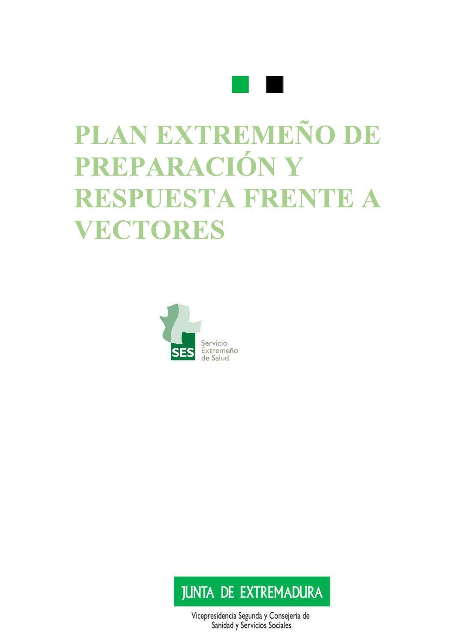

# PLAN EXTREMEÑO DE PREPARACIÓN Y RESPUESTA FRENTE A **VECTORES**





Vicepresidencia Segunda y Consejería de Sanidad y Servicios Sociales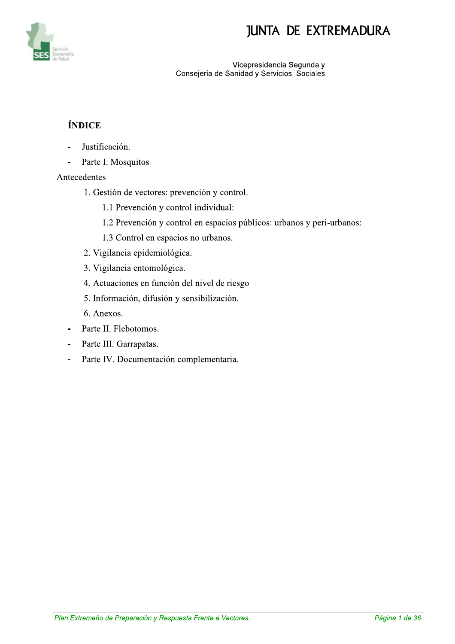

vice cepresidencia Segunda y Consejeria de Sanidad y Servicios Sociales

### **ÍNDICE**

- Justificación.
- Parte I. Mosquitos

#### Antecedentes

- 1. Gestión de vectores: prevención y control.
	- 1.1 Prevención y control individual:
	- 1.2 Prevención y control en espacios públicos: urbanos y peri-urbanos:
	- 1.3 Control en espacios no urbanos.
- 2. Vigilancia epidemiológica.
- 3. Vigilancia entomológica.
- 4. Actuaciones en función del nivel de riesgo
- 5. Información, difusión y sensibilización.
- 6. Anexos.
- Parte II. Flebotomos.
- Parte III. Garrapatas.
- Parte IV. Documentación complementaria.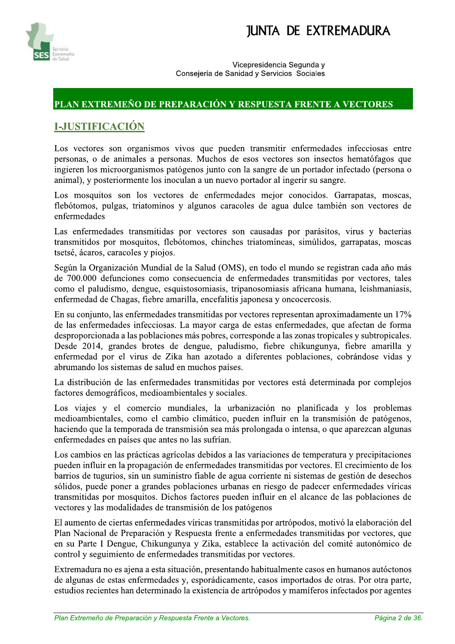



Vicepresidencia Segunda v Consejería de Sanidad y Servicios Sociales

#### PLAN EXTREMEÑO DE PREPARACIÓN Y RESPUESTA FRENTE A VECTORES

#### **I-JUSTIFICACIÓN**

Los vectores son organismos vivos que pueden transmitir enfermedades infecciosas entre personas, o de animales a personas. Muchos de esos vectores son insectos hematófagos que ingieren los microorganismos patógenos junto con la sangre de un portador infectado (persona o animal), y posteriormente los inoculan a un nuevo portador al ingerir su sangre.

Los mosquitos son los vectores de enfermedades mejor conocidos. Garrapatas, moscas, flebótomos, pulgas, triatominos y algunos caracoles de agua dulce también son vectores de enfermedades

Las enfermedades transmitidas por vectores son causadas por parásitos, virus y bacterias transmitidos por mosquitos, flebótomos, chinches triatomíneas, simúlidos, garrapatas, moscas tsetsé, ácaros, caracoles y piojos.

Según la Organización Mundial de la Salud (OMS), en todo el mundo se registran cada año más de 700.000 defunciones como consecuencia de enfermedades transmitidas por vectores, tales como el paludismo, dengue, esquistosomiasis, tripanosomiasis africana humana, leishmaniasis, enfermedad de Chagas, fiebre amarilla, encefalitis japonesa y oncocercosis.

En su conjunto, las enfermedades transmitidas por vectores representan aproximadamente un 17% de las enfermedades infecciosas. La mayor carga de estas enfermedades, que afectan de forma desproporcionada a las poblaciones más pobres, corresponde a las zonas tropicales y subtropicales. Desde 2014, grandes brotes de dengue, paludismo, fiebre chikungunya, fiebre amarilla y enfermedad por el virus de Zika han azotado a diferentes poblaciones, cobrándose vidas y abrumando los sistemas de salud en muchos países.

La distribución de las enfermedades transmitidas por vectores está determinada por complejos factores demográficos, medioambientales y sociales.

Los viajes y el comercio mundiales, la urbanización no planificada y los problemas medioambientales, como el cambio climático, pueden influir en la transmisión de patógenos, haciendo que la temporada de transmisión sea más prolongada o intensa, o que aparezcan algunas enfermedades en países que antes no las sufrían.

Los cambios en las prácticas agrícolas debidos a las variaciones de temperatura y precipitaciones pueden influir en la propagación de enfermedades transmitidas por vectores. El crecimiento de los barrios de tugurios, sin un suministro fiable de agua corriente ni sistemas de gestión de desechos sólidos, puede poner a grandes poblaciones urbanas en riesgo de padecer enfermedades víricas transmitidas por mosquitos. Dichos factores pueden influir en el alcance de las poblaciones de vectores y las modalidades de transmisión de los patógenos

El aumento de ciertas enfermedades víricas transmitidas por artrópodos, motivó la elaboración del Plan Nacional de Preparación y Respuesta frente a enfermedades transmitidas por vectores, que en su Parte I Dengue, Chikungunya y Zika, establece la activación del comité autonómico de control y seguimiento de enfermedades transmitidas por vectores.

Extremadura no es ajena a esta situación, presentando habitualmente casos en humanos autóctonos de algunas de estas enfermedades y, esporádicamente, casos importados de otras. Por otra parte, estudios recientes han determinado la existencia de artrópodos y mamíferos infectados por agentes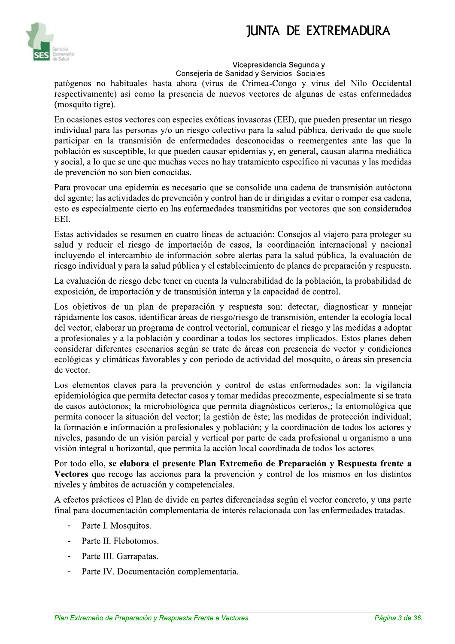

#### vice cepresidencia Segunda y

Consejería de Sanidad y Servicios Sociales

patógenos no habituales hasta ahora (virus de Crimea-Congo y virus del Nilo Occidental respectivamente) así como la presencia de nuevos vectores de algunas de estas enfermedades (mosquito tigre).

En ocasiones estos vectores con especies exóticas invasoras (EEI), que pueden presentar un riesgo individual para las personas y/o un riesgo colectivo para la salud pública, derivado de que suele participar en la transmisión de enfermedades desconocidas o reemergentes ante las que la población es susceptible, lo que pueden causar epidemias y, en general, causan alarma mediática y social, a lo que se une que muchas veces no hay tratamiento específico ni vacunas y las medidas de prevención no son bien conocidas.

Para provocar una epidemia es necesario que se consolide una cadena de transmisión autóctona del agente; las actividades de prevención y control han de ir dirigidas a evitar o romper esa cadena, esto es especialmente cierto en las enfermedades transmitidas por vectores que son considerados EEI.

Estas actividades se resumen en cuatro líneas de actuación: Consejos al viajero para proteger su salud y reducir el riesgo de importación de casos, la coordinación internacional y nacional incluyendo el intercambio de información sobre alertas para la salud pública, la evaluación de riesgo individual y para la salud pública y el establecimiento de planes de preparación y respuesta.

La evaluación de riesgo debe tener en cuenta la vulnerabilidad de la población, la probabilidad de exposición, de importación y de transmisión interna y la capacidad de control.

Los objetivos de un plan de preparación y respuesta son: detectar, diagnosticar y manejar rápidamente los casos, identificar áreas de riesgo/riesgo de transmisión, entender la ecología local del vector, elaborar un programa de control vectorial, comunicar el riesgo y las medidas a adoptar a profesionales y a la población y coordinar a todos los sectores implicados. Estos planes deben considerar diferentes escenarios según se trate de áreas con presencia de vector y condiciones ecológicas y climáticas favorables y con periodo de actividad del mosquito, o áreas sin presencia de vector.

Los elementos claves para la prevención y control de estas enfermedades son: la vigilancia  $e$ pidemiológica que permita detectar casos y tomar medidas precozmente, especialmente si se trata de casos autóctonos; la microbiológica que permita diagnósticos certeros,; la entomológica que permita conocer la situación del vector; la gestión de éste; las medidas de protección individual; la formación e información a profesionales y población; y la coordinación de todos los actores y niveles, pasando de un visión parcial y vertical por parte de cada profesional u organismo a una visión integral u horizontal, que permita la acción local coordinada de todos los actores

Por todo ello, se elabora el presente Plan Extremeño de Preparación y Respuesta frente a Vectores que recoge las acciones para la prevención y control de los mismos en los distintos niveles y ámbitos de actuación y competenciales.

A efectos prácticos el Plan de divide en partes diferenciadas según el vector concreto, y una parte final para documentación complementaria de interés relacionada con las enfermedades tratadas.

- Parte I. Mosquitos.
- Parte II. Flebotomos.
- Parte III. Garrapatas.
- Parte III. Garrapatas.<br>
Parte IV. Documentación complementaria.<br>
Plan Extremeño de Preparación y Respuesta Frente a Vectores.<br>
Página 3 de 36. - Parte IV. Documentación complementaria.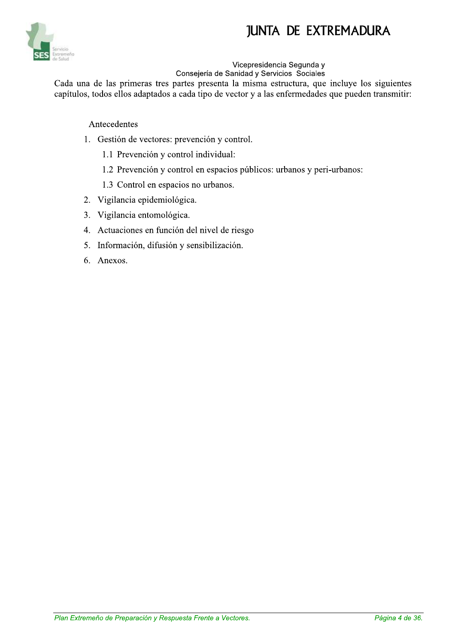

#### **Vicepresidencia Segunda v**

Conseiería de Sanidad y Servicios Sociales

Cada una de las primeras tres partes presenta la misma estructura, que incluye los siguientes capítulos, todos ellos adaptados a cada tipo de vector y a las enfermedades que pueden transmitir:

#### Antecedentes

- 1. Gestión de vectores: prevención y control.
	- 1.1 Prevención y control individual:
	- 1.2 Prevención y control en espacios públicos: urbanos y peri-urbanos:
	- 1.3 Control en espacios no urbanos.
- 2. Vigilancia epidemiológica.
- 3. Vigilancia entomológica.
- 4. Actuaciones en función del nivel de riesgo
- 5. Información, difusión y sensibilización.
- 6. Anexos.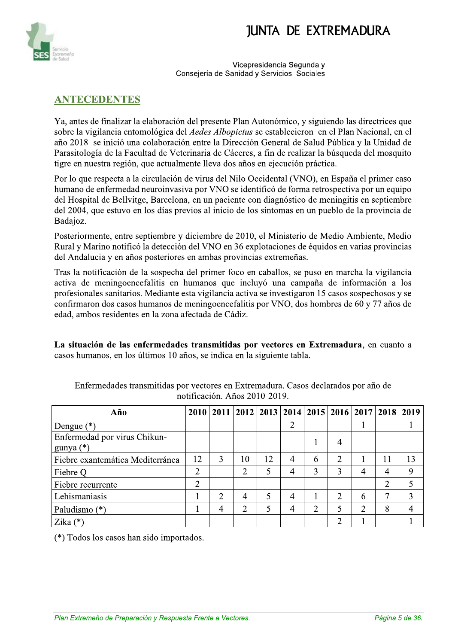

Vicepresidencia Segunda v Consejería de Sanidad y Servicios Sociales

#### **ANTECEDENTES**

Ya, antes de finalizar la elaboración del presente Plan Autonómico, y siguiendo las directrices que sobre la vigilancia entomológica del *Aedes Albopictus* se establecieron en el Plan Nacional, en el año 2018 se inició una colaboración entre la Dirección General de Salud Pública y la Unidad de Parasitología de la Facultad de Veterinaria de Cáceres, a fin de realizar la búsqueda del mosquito tigre en nuestra región, que actualmente lleva dos años en ejecución práctica.

Por lo que respecta a la circulación de virus del Nilo Occidental (VNO), en España el primer caso humano de enfermedad neuroinvasiva por VNO se identificó de forma retrospectiva por un equipo del Hospital de Bellvitge, Barcelona, en un paciente con diagnóstico de meningitis en septiembre del 2004, que estuvo en los días previos al inicio de los síntomas en un pueblo de la provincia de Badajoz.

Posteriormente, entre septiembre y diciembre de 2010, el Ministerio de Medio Ambiente, Medio Rural y Marino notificó la detección del VNO en 36 explotaciones de équidos en varias provincias del Andalucia y en años posteriores en ambas provincias extremeñas.

Tras la notificación de la sospecha del primer foco en caballos, se puso en marcha la vigilancia activa de meningoencefalitis en humanos que incluyó una campaña de información a los profesionales sanitarios. Mediante esta vigilancia activa se investigaron 15 casos sospechosos y se confirmaron dos casos humanos de meningoence falitis por VNO, dos hombres de 60 y 77 años de edad, ambos residentes en la zona afectada de Cádiz.

La situación de las enfermedades transmitidas por vectores en Extremadura, en cuanto a casos humanos, en los últimos 10 años, se indica en la siguiente tabla.

| Año                                         |   |   |    |    |   |   | 2010   2011   2012   2013   2014   2015   2016   2017   2018   2019 |                |   |    |
|---------------------------------------------|---|---|----|----|---|---|---------------------------------------------------------------------|----------------|---|----|
| Dengue $(*)$                                |   |   |    |    | 2 |   |                                                                     |                |   |    |
| Enfermedad por virus Chikun-<br>gunya $(*)$ |   |   |    |    |   |   | 4                                                                   |                |   |    |
| Fiebre exantemática Mediterránea            |   | 3 | 10 | 12 | 4 | 6 | $\overline{2}$                                                      |                |   | 13 |
| Fiebre Q                                    | 2 |   | າ  | 5  | 4 | 3 | 3                                                                   | 4              |   | 9  |
| Fiebre recurrente                           | 2 |   |    |    |   |   |                                                                     |                | ↑ |    |
| Lehismaniasis                               |   | 2 | 4  | 5  | 4 |   | $\overline{2}$                                                      | 6              |   |    |
| Paludismo (*)                               |   | 4 | ↑  | 5  | 4 | ∍ | 5                                                                   | $\overline{2}$ | 8 | 4  |
| Zika $(*)$                                  |   |   |    |    |   |   | າ                                                                   |                |   |    |

Enfermedades transmitidas por vectores en Extremadura. Casos declarados por año de notificación. Años 2010-2019.

(\*) Todos los casos han sido importados.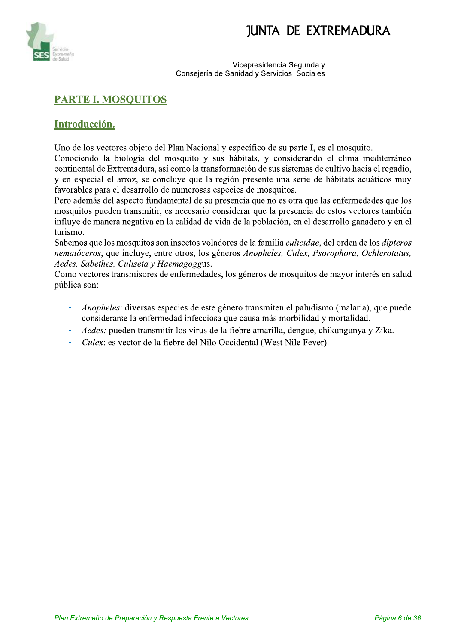

Vicepresidencia Segunda v Consejería de Sanidad y Servicios Sociales

### **PARTE I. MOSQUITOS**

#### Introducción.

Uno de los vectores objeto del Plan Nacional y específico de su parte I, es el mosquito.

Conociendo la biología del mosquito y sus hábitats, y considerando el clima mediterráneo continental de Extremadura, así como la transformación de sus sistemas de cultivo hacia el regadío, y en especial el arroz, se concluye que la región presente una serie de hábitats acuáticos muy favorables para el desarrollo de numerosas especies de mosquitos.

Pero además del aspecto fundamental de su presencia que no es otra que las enfermedades que los mosquitos pueden transmitir, es necesario considerar que la presencia de estos vectores también influye de manera negativa en la calidad de vida de la población, en el desarrollo ganadero y en el turismo.

Sabemos que los mosquitos son insectos voladores de la familia *culicidae*, del orden de los *dipteros* nematóceros, que incluye, entre otros, los géneros Anopheles, Culex, Psorophora, Ochlerotatus, Aedes, Sabethes, Culiseta y Haemagoggus.

Como vectores transmisores de enfermedades, los géneros de mosquitos de mayor interés en salud pública son:

- *Anopheles:* diversas especies de este género transmiten el paludismo (malaria), que puede considerarse la enfermedad infecciosa que causa más morbilidad y mortalidad.
- Aedes: pueden transmitir los virus de la fiebre amarilla, dengue, chikungunya y Zika.
- Culex: es vector de la fiebre del Nilo Occidental (West Nile Fever).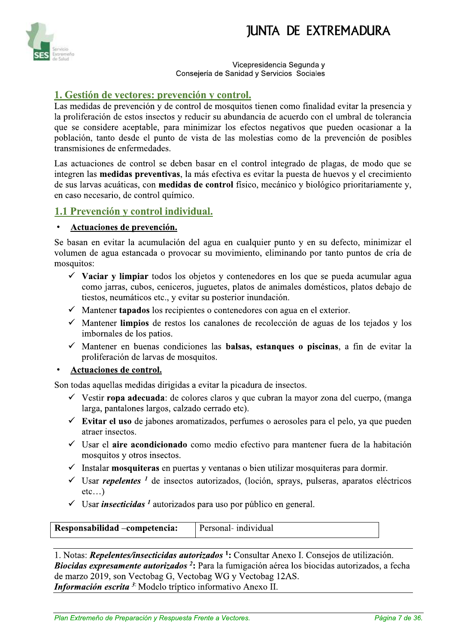

Vicepresidencia Segunda v Consejería de Sanidad y Servicios Sociales

#### 1. Gestión de vectores: prevención y control.

Las medidas de prevención y de control de mosquitos tienen como finalidad evitar la presencia y la proliferación de estos insectos y reducir su abundancia de acuerdo con el umbral de tolerancia que se considere aceptable, para minimizar los efectos negativos que pueden ocasionar a la población, tanto desde el punto de vista de las molestias como de la prevención de posibles transmisiones de enfermedades.

Las actuaciones de control se deben basar en el control integrado de plagas, de modo que se integren las medidas preventivas, la más efectiva es evitar la puesta de huevos y el crecimiento de sus larvas acuáticas, con medidas de control físico, mecánico y biológico prioritariamente y, en caso necesario, de control químico.

#### 1.1 Prevención y control individual.

#### Actuaciones de prevención.

Se basan en evitar la acumulación del agua en cualquier punto y en su defecto, minimizar el volumen de agua estancada o provocar su movimiento, eliminando por tanto puntos de cría de mosquitos:

- $\checkmark$  Vaciar y limpiar todos los objetos y contenedores en los que se pueda acumular agua como jarras, cubos, ceniceros, juguetes, platos de animales domésticos, platos debajo de tiestos, neumáticos etc., y evitar su posterior inundación.
- $\checkmark$  Mantener tapados los recipientes o contenedores con agua en el exterior.
- √ Mantener limpios de restos los canalones de recolección de aguas de los tejados y los imbornales de los patios.
- $\checkmark$  Mantener en buenas condiciones las **balsas, estangues o piscinas**, a fin de evitar la proliferación de larvas de mosquitos.

#### Actuaciones de control.

Son todas aquellas medidas dirigidas a evitar la picadura de insectos.

- √ Vestir ropa adecuada: de colores claros y que cubran la mayor zona del cuerpo, (manga larga, pantalones largos, calzado cerrado etc).
- $\checkmark$  Evitar el uso de jabones aromatizados, perfumes o aerosoles para el pelo, ya que pueden atraer insectos.
- ✓ Usar el aire acondicionado como medio efectivo para mantener fuera de la habitación mosquitos y otros insectos.
- $\checkmark$  Instalar **mosquiteras** en puertas y ventanas o bien utilizar mosquiteras para dormir.
- $\checkmark$  Usar *repelentes* <sup>1</sup> de insectos autorizados, (loción, sprays, pulseras, aparatos eléctricos  $etc...$
- $\checkmark$  Usar *insecticidas* <sup>1</sup> autorizados para uso por público en general.

| Personal- individual<br>Responsabilidad – competencia: |
|--------------------------------------------------------|
|--------------------------------------------------------|

1. Notas: Repelentes/insecticidas autorizados <sup>1</sup>: Consultar Anexo I. Consejos de utilización. Biocidas expresamente autorizados<sup>2</sup>: Para la fumigación aérea los biocidas autorizados, a fecha de marzo 2019, son Vectobag G, Vectobag WG y Vectobag 12AS. Información escrita<sup>3</sup>: Modelo tríptico informativo Anexo II.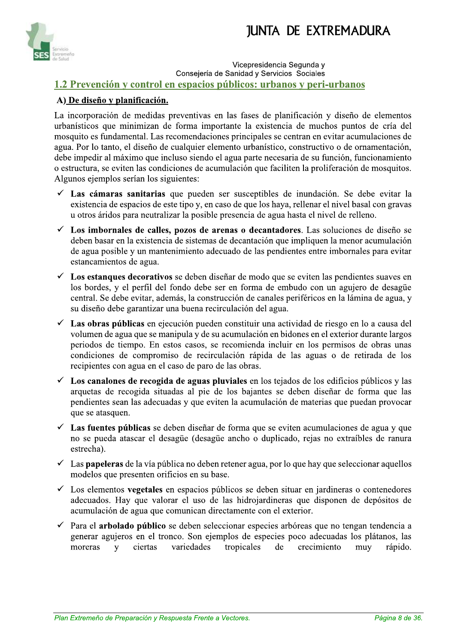

vice cepresidencia Segunda y Consejeria de Sanidad y Servicios Sociales 1.2 Prevención y control en espacios públicos: urbanos y peri-urbanos

#### A) De diseño y planificación.

La incorporación de medidas preventivas en las fases de planificación y diseño de elementos urbanísticos que minimizan de forma importante la existencia de muchos puntos de cría del mosquito es fundamental. Las recomendaciones principales se centran en evitar acumulaciones de agua. Por lo tanto, el diseño de cualquier elemento urbanístico, constructivo o de ornamentación, debe impedir al máximo que incluso siendo el agua parte necesaria de su función, funcionamiento o estructura, se eviten las condiciones de acumulación que faciliten la proliferación de mosquitos. Algunos ejemplos serían los siguientes:

- $\checkmark$  Las cámaras sanitarias que pueden ser susceptibles de inundación. Se debe evitar la existencia de espacios de este tipo y, en caso de que los haya, rellenar el nivel basal con gravas  $u$  otros áridos para neutralizar la posible presencia de agua hasta el nivel de relleno.
- $\checkmark$  Los imbornales de calles, pozos de arenas o decantadores. Las soluciones de diseño se  $\alpha$ deben basar en la existencia de sistemas de decantación que impliquen la menor acumulación de agua posible y un mantenimiento adecuado de las pendientes entre imbornales para evitar estancamientos de agua.
- $\checkmark$  Los estangues decorativos se deben diseñar de modo que se eviten las pendientes suaves en  $\cos$  bordes, y el perfil del fondo debe ser en forma de embudo con un agujero de desagüe central. Se debe evitar, además, la construcción de canales periféricos en la lámina de agua, y su diseño debe garantizar una buena recirculación del agua.
- $\checkmark$  Las obras públicas en ejecución pueden constituir una actividad de riesgo en lo a causa del volumen de agua que se manipula y de su acumulación en bidones en el exterior durante largos periodos de tiempo. En estos casos, se recomienda incluir en los permisos de obras unas condiciones de compromiso de recirculación rápida de las aguas o de retirada de los  $\overline{\mathbf{r}}$  recipientes con agua en el caso de paro de las obras.
- $\checkmark$  Los canalones de recogida de aguas pluviales en los tejados de los edificios públicos y las arquetas de recogida situadas al pie de los bajantes se deben diseñar de forma que las pendientes sean las adecuadas y que eviten la acumulación de materias que puedan provocar que se atasquen.
- $\checkmark$  Las fuentes públicas se deben diseñar de forma que se eviten acumulaciones de agua y que no se pueda atascar el desagüe (desagüe ancho o duplicado, rejas no extraíbles de ranura estrecha).
- $\checkmark$  Las **papeleras** de la vía pública no deben retener agua, por lo que hay que seleccionar aquellos modelos que presenten orificios en su base.
- $\checkmark$  Los elementos **vegetales** en espacios públicos se deben situar en jardineras o contenedores adecuados. Hay que valorar el uso de las hidrojardineras que disponen de depósitos de acumulación de agua que comunican directamente con el exterior.
- $\checkmark$  Para el arbolado público se deben seleccionar especies arbóreas que no tengan tendencia a generar agujeros en el tronco. Son ejemplos de especies poco adecuadas los plátanos, las moreras y ciertas variedades tropicales de crecimiento muy rápido. moreras y ciertas variedades tropicales de crecimiento muy rapido.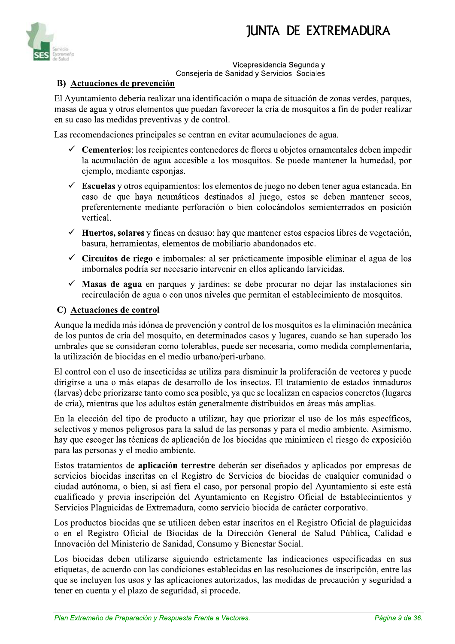

vice cepresidencia Segunda y Consejeria de Sanidad y Servicios Sociales

#### **B**) Actuaciones de prevención

El Avuntamiento debería realizar una identificación o mapa de situación de zonas verdes, parques, masas de agua y otros elementos que puedan favorecer la cría de mosquitos a fin de poder realizar en su caso las medidas preventivas y de control.

Las recomendaciones principales se centran en evitar acumulaciones de agua.

- $\checkmark$  Cementerios: los recipientes contenedores de flores u objetos ornamentales deben impedir la acumulación de agua accesible a los mosquitos. Se puede mantener la humedad, por ejemplo, mediante esponjas.
- Escuelas y otros equipamientos: los elementos de juego no deben tener agua estancada. En caso de que haya neumáticos destinados al juego, estos se deben mantener secos, preferentemente mediante perforación o bien colocándolos semienterrados en posición vertical.
- $\checkmark$  Huertos, solares y fincas en desuso: hay que mantener estos espacios libres de vegetación, basura, herramientas, elementos de mobiliario abandonados etc.
- $\checkmark$  Circuitos de riego e imbornales: al ser prácticamente imposible eliminar el agua de los imbornales podría ser necesario intervenir en ellos aplicando larvicidas.
- $\checkmark$  Masas de agua en parques y jardines: se debe procurar no dejar las instalaciones sin recirculación de agua o con unos niveles que permitan el establecimiento de mosquitos.

#### C) Actuaciones de control

Aunque la medida más idónea de prevención y control de los mosquitos es la eliminación mecánica de los puntos de cría del mosquito, en determinados casos y lugares, cuando se han superado los umbrales que se consideran como tolerables, puede ser necesaria, como medida complementaria, la utilización de biocidas en el medio urbano/peri-urbano.

El control con el uso de insecticidas se utiliza para disminuir la proliferación de vectores y puede dirigirse a una o más etapas de desarrollo de los insectos. El tratamiento de estados inmaduros (larvas) debe priorizarse tanto como sea posible, ya que se localizan en espacios concretos (lugares de cría), mientras que los adultos están generalmente distribuidos en áreas más amplias.

En la elección del tipo de producto a utilizar, hay que priorizar el uso de los más específicos, selectivos y menos peligrosos para la salud de las personas y para el medio ambiente. Asimismo, hay que escoger las técnicas de aplicación de los biocidas que minimicen el riesgo de exposición para las personas y el medio ambiente.

Estos tratamientos de aplicación terrestre deberán ser diseñados y aplicados por empresas de servicios biocidas inscritas en el Registro de Servicios de biocidas de cualquier comunidad o ciudad autónoma, o bien, si así fiera el caso, por personal propio del Ayuntamiento si este está cualificado y previa inscripción del Ayuntamiento en Registro Oficial de Establecimientos y Servicios Plaguicidas de Extremadura, como servicio biocida de carácter corporativo.

Los productos biocidas que se utilicen deben estar inscritos en el Registro Oficial de plaguicidas o en el Registro Oficial de Biocidas de la Dirección General de Salud Pública, Calidad e Innovación del Ministerio de Sanidad, Consumo y Bienestar Social.

Los biocidas deben utilizarse siguiendo estrictamente las indicaciones especificadas en sus etiquetas, de acuerdo con las condiciones establecidas en las resoluciones de inscripción, entre las que se incluyen los usos y la Los biocidas deben utilizarse siguiendo estrictamente las indicaciones especificadas en sus etiquetas, de acuerdo con las condiciones establecidas en las resoluciones de inscripción, entre las que se incluyen los usos y las aplicaciones autorizados, las medidas de precaución y seguridad a tener en cuenta y el plazo de seguridad, si procede.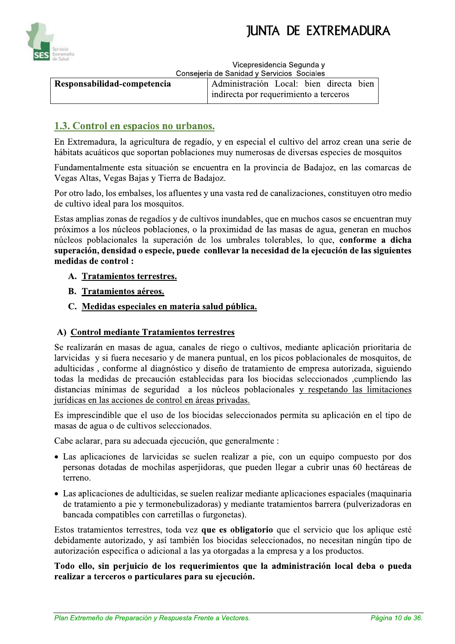



Vicepresidencia Segunda v

Consejería de Sanidad y Servicios Sociales

| Responsabilidad-competencia | Administración Local: bien directa bien |  |  |
|-----------------------------|-----------------------------------------|--|--|
|                             | indirecta por requerimiento a terceros  |  |  |

### 1.3. Control en espacios no urbanos.

En Extremadura, la agricultura de regadío, y en especial el cultivo del arroz crean una serie de hábitats acuáticos que soportan poblaciones muy numerosas de diversas especies de mosquitos

Fundamentalmente esta situación se encuentra en la provincia de Badajoz, en las comarcas de Vegas Altas, Vegas Bajas y Tierra de Badajoz.

Por otro lado, los embalses, los afluentes y una vasta red de canalizaciones, constituyen otro medio de cultivo ideal para los mosquitos.

Estas amplias zonas de regadíos y de cultivos inundables, que en muchos casos se encuentran muy próximos a los núcleos poblaciones, o la proximidad de las masas de agua, generan en muchos núcleos poblacionales la superación de los umbrales tolerables, lo que, conforme a dicha superación, densidad o especie, puede conllevar la necesidad de la ejecución de las siguientes medidas de control :

- A. Tratamientos terrestres.
- **B.** Tratamientos aéreos.
- C. Medidas especiales en materia salud pública.

#### A) Control mediante Tratamientos terrestres

Se realizarán en masas de agua, canales de riego o cultivos, mediante aplicación prioritaria de larvicidas y si fuera necesario y de manera puntual, en los picos poblacionales de mosquitos, de adulticidas, conforme al diagnóstico y diseño de tratamiento de empresa autorizada, siguiendo todas la medidas de precaución establecidas para los biocidas seleccionados ,cumpliendo las distancias mínimas de seguridad a los núcleos poblacionales y respetando las limitaciones jurídicas en las acciones de control en áreas privadas.

Es imprescindible que el uso de los biocidas seleccionados permita su aplicación en el tipo de masas de agua o de cultivos seleccionados.

Cabe aclarar, para su adecuada ejecución, que generalmente :

- Las aplicaciones de larvicidas se suelen realizar a pie, con un equipo compuesto por dos personas dotadas de mochilas asperiidoras, que pueden llegar a cubrir unas 60 hectáreas de terreno.
- Las aplicaciones de adulticidas, se suelen realizar mediante aplicaciones espaciales (maquinaria de tratamiento a pie y termonebulizadoras) y mediante tratamientos barrera (pulverizadoras en bancada compatibles con carretillas o furgonetas).

Estos tratamientos terrestres, toda vez que es obligatorio que el servicio que los aplique esté debidamente autorizado, y así también los biocidas seleccionados, no necesitan ningún tipo de autorización especifica o adicional a las ya otorgadas a la empresa y a los productos.

Todo ello, sin perjuicio de los requerimientos que la administración local deba o pueda realizar a terceros o particulares para su ejecución.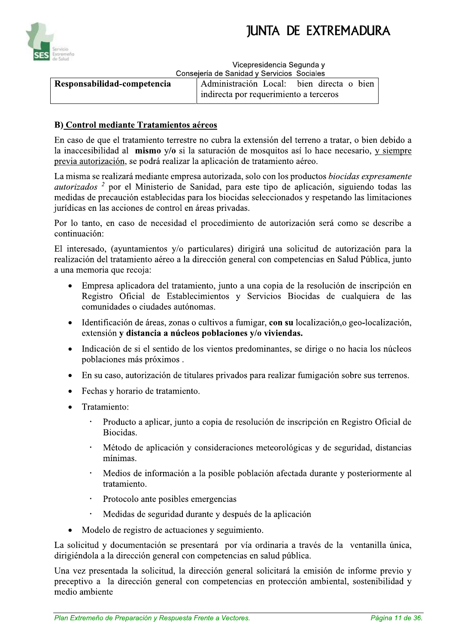



Vicepresidencia Segunda v Consejería de Sanidad y Servicios Sociales

|                             | Consejenta de Januard y Jervicios Jociales |  |
|-----------------------------|--------------------------------------------|--|
| Responsabilidad-competencia | Administración Local: bien directa o bien  |  |
|                             | indirecta por requerimiento a terceros     |  |

#### **B)** Control mediante Tratamientos aéreos

En caso de que el tratamiento terrestre no cubra la extensión del terreno a tratar, o bien debido a la inaccesibilidad al mismo y/o si la saturación de mosquitos así lo hace necesario, y siempre previa autorización, se podrá realizar la aplicación de tratamiento aéreo.

La misma se realizará mediante empresa autorizada, solo con los productos biocidas expresamente *autorizados<sup>2</sup>* por el Ministerio de Sanidad, para este tipo de aplicación, siguiendo todas las medidas de precaución establecidas para los biocidas seleccionados y respetando las limitaciones jurídicas en las acciones de control en áreas privadas.

Por lo tanto, en caso de necesidad el procedimiento de autorización será como se describe a continuación:

El interesado, (ayuntamientos y/o particulares) dirigirá una solicitud de autorización para la realización del tratamiento aéreo a la dirección general con competencias en Salud Pública, junto a una memoria que recoja:

- Empresa aplicadora del tratamiento, junto a una copia de la resolución de inscripción en Registro Oficial de Establecimientos y Servicios Biocidas de cualquiera de las comunidades o ciudades autónomas.
- Identificación de áreas, zonas o cultivos a fumigar, con su localización, o geo-localización,  $\bullet$ extensión y distancia a núcleos poblaciones y/o viviendas.
- Indicación de si el sentido de los vientos predominantes, se dirige o no hacia los núcleos  $\bullet$ poblaciones más próximos.
- En su caso, autorización de titulares privados para realizar fumigación sobre sus terrenos.  $\bullet$
- Fechas y horario de tratamiento.  $\bullet$
- Tratamiento:  $\bullet$ 
	- Producto a aplicar, junto a copia de resolución de inscripción en Registro Oficial de Biocidas.
	- $\ddot{\phantom{0}}$ Método de aplicación y consideraciones meteorológicas y de seguridad, distancias mínimas.
	- Medios de información a la posible población afectada durante y posteriormente al tratamiento.
	- Protocolo ante posibles emergencias
	- Medidas de seguridad durante y después de la aplicación
- Modelo de registro de actuaciones y seguimiento.

La solicitud y documentación se presentará por vía ordinaria a través de la ventanilla única, dirigiéndola a la dirección general con competencias en salud pública.

Una vez presentada la solicitud, la dirección general solicitará la emisión de informe previo y preceptivo a la dirección general con competencias en protección ambiental, sostenibilidad y medio ambiente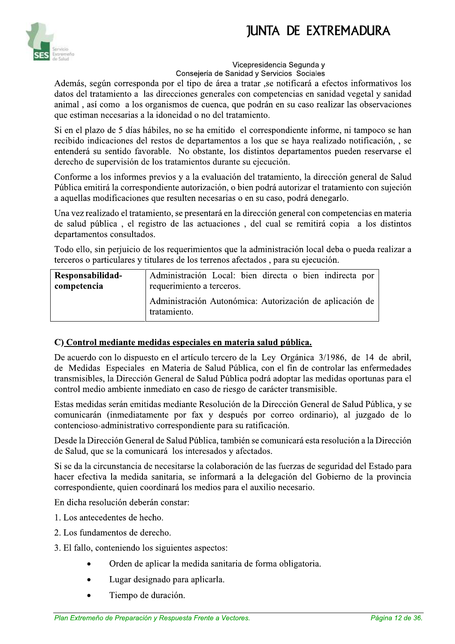

#### vice cepresidencia Segunda y

Consejería de Sanidad y Servicios Sociales Además, según corresponda por el tipo de área a tratar ,se notificará a efectos informativos los datos del tratamiento a las direcciones generales con competencias en sanidad vegetal y sanidad animal, así como a los organismos de cuenca, que podrán en su caso realizar las observaciones que estiman necesarias a la idoneidad o no del tratamiento.

Si en el plazo de 5 días hábiles, no se ha emitido el correspondiente informe, ni tampoco se han recibido indicaciones del restos de departamentos a los que se haya realizado notificación, , se entenderá su sentido favorable. No obstante, los distintos departamentos pueden reservarse el derecho de supervisión de los tratamientos durante su ejecución.

Conforme a los informes previos y a la evaluación del tratamiento, la dirección general de Salud Pública emitirá la correspondiente autorización, o bien podrá autorizar el tratamiento con sujeción a aquellas modificaciones que resulten necesarias o en su caso, podrá denegarlo.

Una vez realizado el tratamiento, se presentará en la dirección general con competencias en materia de salud pública, el registro de las actuaciones, del cual se remitirá copia a los distintos departamentos consultados.

Todo ello, sin periuicio de los requerimientos que la administración local deba o pueda realizar a terceros o particulares y titulares de los terrenos afectados, para su ejecución.

| Responsabilidad- | Administración Local: bien directa o bien indirecta por                  |
|------------------|--------------------------------------------------------------------------|
| competencia      | requerimiento a terceros.                                                |
|                  | Administración Autonómica: Autorización de aplicación de<br>tratamiento. |

#### $\mathbf C$ ) Control mediante medidas especiales en materia salud pública.

De acuerdo con lo dispuesto en el artículo tercero de la Ley Orgánica 3/1986, de 14 de abril, de Medidas Especiales en Materia de Salud Pública, con el fin de controlar las enfermedades transmisibles, la Dirección General de Salud Pública podrá adoptar las medidas oportunas para el control medio ambiente inmediato en caso de riesgo de carácter transmisible.

Estas medidas serán emitidas mediante Resolución de la Dirección General de Salud Pública, y se comunicarán (inmediatamente por fax y después por correo ordinario), al juzgado de lo contencioso-administrativo correspondiente para su ratificación.

Desde la Dirección General de Salud Pública, también se comunicará esta resolución a la Dirección de Salud, que se la comunicará los interesados y afectados.

Si se da la circunstancia de necesitarse la colaboración de las fuerzas de seguridad del Estado para hacer efectiva la medida sanitaria, se informará a la delegación del Gobierno de la provincia  $correspondiente$ , quien coordinará los medios para el auxilio necesario.

En dicha resolución deberán constar:

- 1. Los antecedentes de hecho.
- 2. Los fundamentos de derecho.
- 3. E1 fallo, conteniendo los siguientes aspectos:
- Orden de aplicar la medida sanitaria de forma obligatoria.<br>• Lugar designado para aplicarla.<br>• Tiempo de duración.<br>*Plan Extremeño de Preparación y Respuesta Frente a Vectores. Página 12 de 36.* • Orden de aplicar la medida sanitaria de forma obligatoria.
	- Lugar designado para aplicarla.
	- Tiempo de duración.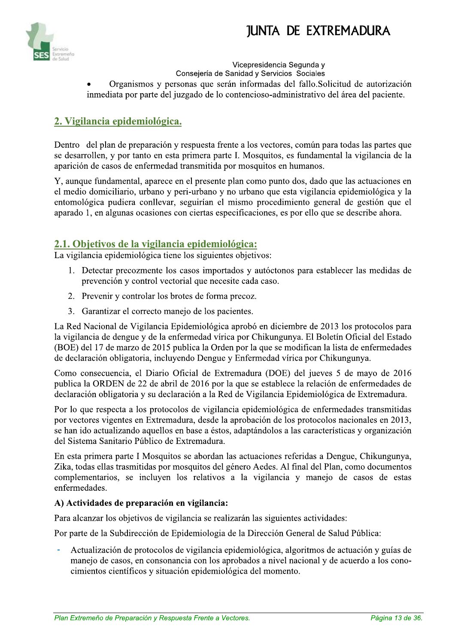

vice cepresidencia Segunda y Consejeria de Sanidad y Servicios Sociales Organismos y personas que serán informadas del fallo. Solicitud de autorización inmediata por parte del juzgado de lo contencioso-administrativo del área del paciente.

### 2. Vigilancia epidemiológica.

S Dentro del plan de preparación y respuesta frente a los vectores, común para todas las partes que se desarrollen, y por tanto en esta primera parte I. Mosquitos, es fundamental la vigilancia de la aparición de casos de enfermedad transmitida por mosquitos en humanos.

Y, aunque fundamental, aparece en el presente plan como punto dos, dado que las actuaciones en el medio domiciliario, urbano y peri-urbano y no urbano que esta vigilancia epidemiológica y la entomológica pudiera conllevar, seguirían el mismo procedimiento general de gestión que el aparado 1, en algunas ocasiones con ciertas especificaciones, es por ello que se describe ahora.

#### 2.1. Objetivos de la vigilancia epidemiológica:

La vigilancia epidemiológica tiene los siguientes objetivos:

- 1. Detectar precozmente los casos importados y autóctonos para establecer las medidas de prevención y control vectorial que necesite cada caso.
- 2. Prevenir y controlar los brotes de forma precoz.
- 3. Garantizar el correcto manejo de los pacientes.

La Red Nacional de Vigilancia Epidemiológica aprobó en diciembre de 2013 los protocolos para la vigilancia de dengue y de la enfermedad vírica por Chikungunya. El Boletín Oficial del Estado (BOE) del 17 de marzo de 2015 publica la Orden por la que se modifican la lista de enfermedades de declaración obligatoria, incluvendo Dengue y Enfermedad vírica por Chikungunya.

Como consecuencia, el Diario Oficial de Extremadura (DOE) del jueves 5 de mayo de 2016 publica la ORDEN de 22 de abril de 2016 por la que se establece la relación de enfermedades de declaración obligatoria y su declaración a la Red de Vigilancia Epidemiológica de Extremadura.

Por lo que respecta a los protocolos de vigilancia epidemiológica de enfermedades transmitidas por vectores vigentes en Extremadura, desde la aprobación de los protocolos nacionales en 2013, se han ido actualizando aquellos en base a éstos, adaptándolos a las características y organización del Sistema Sanitario Público de Extremadura.

En esta primera parte I Mosquitos se abordan las actuaciones referidas a Dengue, Chikungunya, Zika, todas ellas trasmitidas por mosquitos del género Aedes. Al final del Plan, como documentos complementarios, se incluyen los relativos a la vigilancia y manejo de casos de estas enfermedades.

#### A) Actividades de preparación en vigilancia:

Para alcanzar los objetivos de vigilancia se realizarán las siguientes actividades:

Por parte de la Subdirección de Epidemiologia de la Dirección General de Salud Pública:

Fredamzador de protectos de Vignanda epidemiológica, algorianos de detaderon y ganas de manejo de casos, en consonancia con los aprobados a nivel nacional y de acuerdo a los conocimientos científicos y situación epidemioló Actualización de protocolos de vigilancia epidemiológica, algoritmos de actuación y guías de manejo de casos, en consonancia con los aprobados a nivel nacional y de acuerdo a los conocimientos científicos y situación epidemiológica del momento.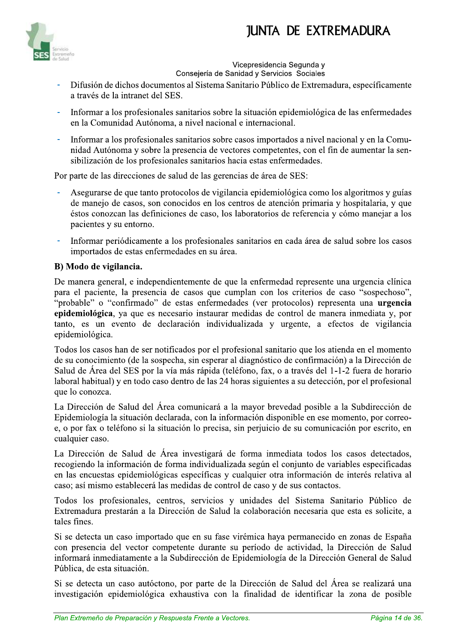

Vicepresidencia Segunda v Consejería de Sanidad y Servicios Sociales

- Difusión de dichos documentos al Sistema Sanitario Público de Extremadura, específicamente a través de la intranet del SES.
- Informar a los profesionales sanitarios sobre la situación epidemiológica de las enfermedades en la Comunidad Autónoma, a nivel nacional e internacional.
- Informar a los profesionales sanitarios sobre casos importados a nivel nacional y en la Comunidad Autónoma y sobre la presencia de vectores competentes, con el fin de aumentar la sensibilización de los profesionales sanitarios hacia estas enfermedades.

Por parte de las direcciones de salud de las gerencias de área de SES:

- Asegurarse de que tanto protocolos de vigilancia epidemiológica como los algoritmos y guías de manejo de casos, son conocidos en los centros de atención primaria y hospitalaria, y que éstos conozcan las definiciones de caso, los laboratorios de referencia y cómo manejar a los pacientes y su entorno.
- Informar periódicamente a los profesionales sanitarios en cada área de salud sobre los casos importados de estas enfermedades en su área.

#### B) Modo de vigilancia.

De manera general, e independientemente de que la enfermedad represente una urgencia clínica para el paciente, la presencia de casos que cumplan con los criterios de caso "sospechoso", "probable" o "confirmado" de estas enfermedades (ver protocolos) representa una urgencia epidemiológica, ya que es necesario instaurar medidas de control de manera inmediata y, por tanto, es un evento de declaración individualizada y urgente, a efectos de vigilancia epidemiológica.

Todos los casos han de ser notificados por el profesional sanitario que los atienda en el momento de su conocimiento (de la sospecha, sin esperar al diagnóstico de confirmación) a la Dirección de Salud de Área del SES por la vía más rápida (teléfono, fax, o a través del 1-1-2 fuera de horario laboral habitual) y en todo caso dentro de las 24 horas siguientes a su detección, por el profesional que lo conozca.

La Dirección de Salud del Área comunicará a la mayor brevedad posible a la Subdirección de Epidemiología la situación declarada, con la información disponible en ese momento, por correoe, o por fax o teléfono si la situación lo precisa, sin perjuicio de su comunicación por escrito, en cualquier caso.

La Dirección de Salud de Área investigará de forma inmediata todos los casos detectados, recogiendo la información de forma individualizada según el conjunto de variables especificadas en las encuestas epidemiológicas específicas y cualquier otra información de interés relativa al caso; así mismo establecerá las medidas de control de caso y de sus contactos.

Todos los profesionales, centros, servicios y unidades del Sistema Sanitario Público de Extremadura prestarán a la Dirección de Salud la colaboración necesaria que esta es solicite, a tales fines.

Si se detecta un caso importado que en su fase virémica haya permanecido en zonas de España con presencia del vector competente durante su período de actividad, la Dirección de Salud informará inmediatamente a la Subdirección de Epidemiología de la Dirección General de Salud Pública, de esta situación.

Si se detecta un caso autóctono, por parte de la Dirección de Salud del Área se realizará una investigación epidemiológica exhaustiva con la finalidad de identificar la zona de posible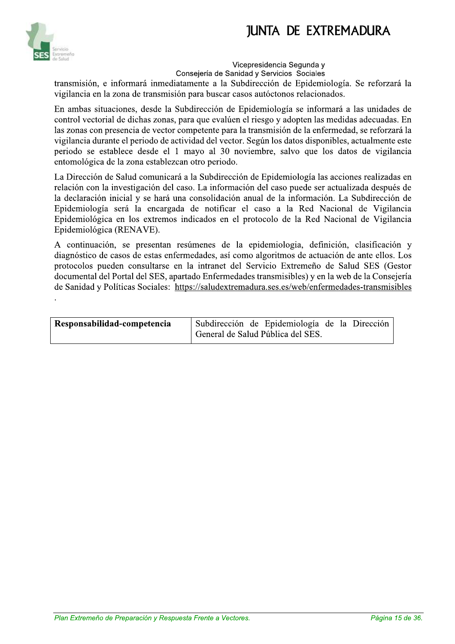

#### vice cepresidencia Segunda y

Consejeria de Sanidad y Servicios Sociales

transmisión, e informará inmediatamente a la Subdirección de Epidemiología. Se reforzará la vigilancia en la zona de transmisión para buscar casos autóctonos relacionados.

En ambas situaciones, desde la Subdirección de Epidemiología se informará a las unidades de control vectorial de dichas zonas, para que evalúen el riesgo y adopten las medidas adecuadas. En las zonas con presencia de vector competente para la transmisión de la enfermedad, se reforzará la vigilancia durante el periodo de actividad del vector. Según los datos disponibles, actualmente este periodo se establece desde el 1 mayo al 30 noviembre, salvo que los datos de vigilancia entomológica de la zona establezcan otro periodo.

La Dirección de Salud comunicará a la Subdirección de Epidemiología las acciones realizadas en relación con la investigación del caso. La información del caso puede ser actualizada después de la declaración inicial y se hará una consolidación anual de la información. La Subdirección de Epidemiología será la encargada de notificar el caso a la Red Nacional de Vigilancia Epidemiológica en los extremos indicados en el protocolo de la Red Nacional de Vigilancia Epidemiológica (RENAVE).

A continuación, se presentan resúmenes de la epidemiologia, definición, clasificación y diagnóstico de casos de estas enfermedades, así como algoritmos de actuación de ante ellos. Los protocolos pueden consultarse en la intranet del Servicio Extremeño de Salud SES (Gestor documental del Portal del SES, apartado Enfermedades transmisibles) y en la web de la Consejería de Sanidad y Políticas Sociales: https://saludextremadura.ses.es/web/enfermedades-transmisibles

| Responsabilidad-competencia | Subdirección de Epidemiología de la Dirección<br>General de Salud Pública del SES. |
|-----------------------------|------------------------------------------------------------------------------------|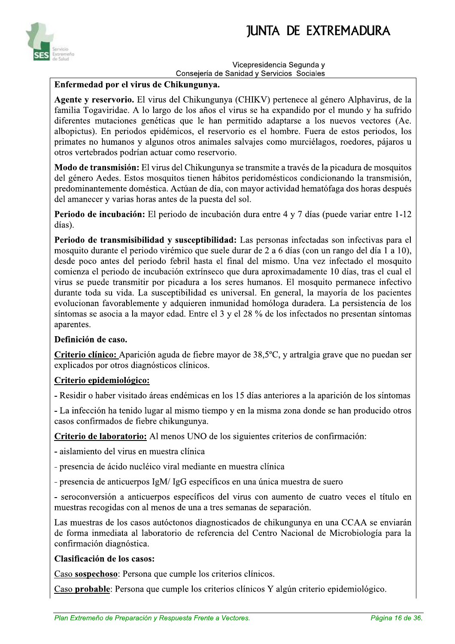

#### Vicepresidencia Segunda v Consejería de Sanidad y Servicios Sociales

#### Enfermedad por el virus de Chikungunya.

Agente y reservorio. El virus del Chikungunya (CHIKV) pertenece al género Alphavirus, de la familia Togaviridae. A lo largo de los años el virus se ha expandido por el mundo y ha sufrido diferentes mutaciones genéticas que le han permitido adaptarse a los nuevos vectores (Ae. albopictus). En periodos epidémicos, el reservorio es el hombre. Fuera de estos periodos, los primates no humanos y algunos otros animales salvajes como murciélagos, roedores, pájaros u otros vertebrados podrían actuar como reservorio.

**Modo de transmisión:** El virus del Chikungunya se transmite a través de la picadura de mosquitos del género Aedes. Estos mosquitos tienen hábitos peridomésticos condicionando la transmisión, predominantemente doméstica. Actúan de día, con mayor actividad hematófaga dos horas después del amanecer y varias horas antes de la puesta del sol.

**Periodo de incubación:** El periodo de incubación dura entre 4 y 7 días (puede variar entre 1-12 días).

Periodo de transmisibilidad y susceptibilidad: Las personas infectadas son infectivas para el mosquito durante el periodo virémico que suele durar de 2 a 6 días (con un rango del día 1 a 10), desde poco antes del periodo febril hasta el final del mismo. Una vez infectado el mosquito comienza el periodo de incubación extrínseco que dura aproximadamente 10 días, tras el cual el virus se puede transmitir por picadura a los seres humanos. El mosquito permanece infectivo durante toda su vida. La susceptibilidad es universal. En general, la mayoría de los pacientes evolucionan favorablemente y adquieren inmunidad homóloga duradera. La persistencia de los síntomas se asocia a la mayor edad. Entre el 3 y el 28 % de los infectados no presentan síntomas aparentes.

#### Definición de caso.

Criterio clínico: Aparición aguda de fiebre mayor de 38,5°C, y artralgia grave que no puedan ser explicados por otros diagnósticos clínicos.

#### Criterio epidemiológico:

- Residir o haber visitado áreas endémicas en los 15 días anteriores a la aparición de los síntomas

- La infección ha tenido lugar al mismo tiempo y en la misma zona donde se han producido otros casos confirmados de fiebre chikungunya.

Criterio de laboratorio: Al menos UNO de los siguientes criterios de confirmación:

- aislamiento del virus en muestra clínica

- presencia de ácido nucléico viral mediante en muestra clínica

- presencia de anticuerpos IgM/IgG específicos en una única muestra de suero

- seroconversión a anticuerpos específicos del virus con aumento de cuatro veces el título en muestras recogidas con al menos de una a tres semanas de separación.

Las muestras de los casos autóctonos diagnosticados de chikungunya en una CCAA se enviarán de forma inmediata al laboratorio de referencia del Centro Nacional de Microbiología para la confirmación diagnóstica.

#### Clasificación de los casos:

Caso sospechoso: Persona que cumple los criterios clínicos.

Caso probable: Persona que cumple los criterios clínicos Y algún criterio epidemiológico.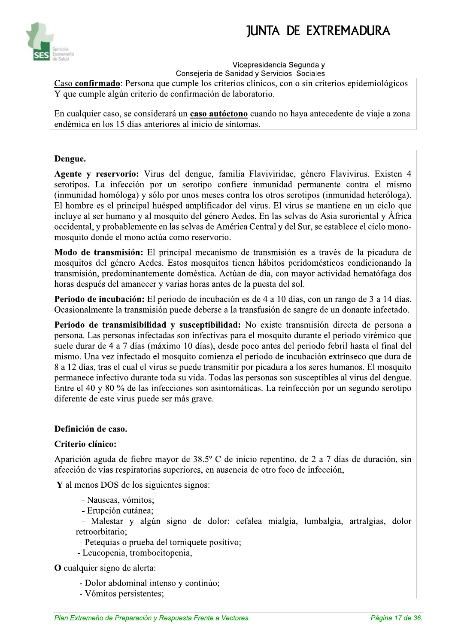

#### Vicepresidencia Segunda v

Consejería de Sanidad y Servicios Sociales Caso confirmado: Persona que cumple los criterios clínicos, con o sin criterios epidemiológicos Y que cumple algún criterio de confirmación de laboratorio.

En cualquier caso, se considerará un **caso autóctono** cuando no haya antecedente de viaje a zona endémica en los 15 días anteriores al inicio de síntomas.

#### Dengue.

Agente y reservorio: Virus del dengue, familia Flaviviridae, género Flavivirus. Existen 4 serotipos. La infección por un serotipo confiere inmunidad permanente contra el mismo (inmunidad homóloga) y sólo por unos meses contra los otros serotipos (inmunidad heteróloga). El hombre es el principal huésped amplificador del virus. El virus se mantiene en un ciclo que incluye al ser humano y al mosquito del género Aedes. En las selvas de Asia suroriental y África occidental, y probablemente en las selvas de América Central y del Sur, se establece el ciclo monomosquito donde el mono actúa como reservorio.

Modo de transmisión: El principal mecanismo de transmisión es a través de la picadura de mosquitos del género Aedes. Estos mosquitos tienen hábitos peridomésticos condicionando la transmisión, predominantemente doméstica. Actúan de día, con mayor actividad hematófaga dos horas después del amanecer y varias horas antes de la puesta del sol.

Periodo de incubación: El periodo de incubación es de 4 a 10 días, con un rango de 3 a 14 días. Ocasionalmente la transmisión puede deberse a la transfusión de sangre de un donante infectado.

Periodo de transmisibilidad y susceptibilidad: No existe transmisión directa de persona a persona. Las personas infectadas son infectivas para el mosquito durante el periodo virémico que suele durar de 4 a 7 días (máximo 10 días), desde poco antes del periodo febril hasta el final del mismo. Una vez infectado el mosquito comienza el periodo de incubación extrínseco que dura de 8 a 12 días, tras el cual el virus se puede transmitir por picadura a los seres humanos. El mosquito permanece infectivo durante toda su vida. Todas las personas son susceptibles al virus del dengue. Entre el 40 y 80 % de las infecciones son asintomáticas. La reinfección por un segundo serotipo diferente de este virus puede ser más grave.

#### Definición de caso.

#### Criterio clínico:

Aparición aguda de fiebre mayor de 38.5° C de inicio repentino, de 2 a 7 días de duración, sin afección de vías respiratorias superiores, en ausencia de otro foco de infección,

Y al menos DOS de los siguientes signos:

- Nauseas, vómitos;
- Erupción cutánea:

- Malestar y algún signo de dolor: cefalea mialgia, lumbalgia, artralgias, dolor retroorbitario;

- Petequias o prueba del torniquete positivo;

- Leucopenia, trombocitopenia,

O cualquier signo de alerta:

- Dolor abdominal intenso y continúo;
- Vómitos persistentes;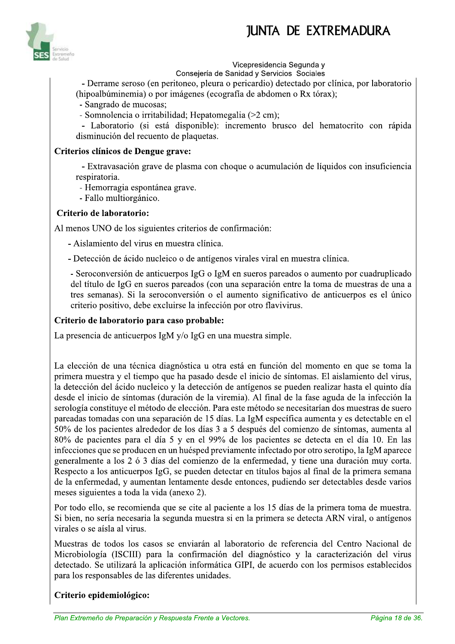

#### Vicepresidencia Segunda v

Consejería de Sanidad y Servicios Sociales

- Derrame seroso (en peritoneo, pleura o pericardio) detectado por clínica, por laboratorio (hipoalbúminemia) o por imágenes (ecografía de abdomen o Rx tórax);

- Sangrado de mucosas;

- Somnolencia o irritabilidad; Hepatomegalia (>2 cm);

- Laboratorio (si está disponible): incremento brusco del hematocrito con rápida disminución del recuento de plaquetas.

#### Criterios clínicos de Dengue grave:

- Extravasación grave de plasma con choque o acumulación de líquidos con insuficiencia respiratoria.

- Hemorragia espontánea grave.

- Fallo multiorgánico.

#### Criterio de laboratorio:

Al menos UNO de los siguientes criterios de confirmación:

- Aislamiento del virus en muestra clínica.

- Detección de ácido nucleico o de antígenos virales viral en muestra clínica.

- Seroconversión de anticuerpos IgG o IgM en sueros pareados o aumento por cuadruplicado del título de IgG en sueros pareados (con una separación entre la toma de muestras de una a tres semanas). Si la seroconversión o el aumento significativo de anticuerpos es el único criterio positivo, debe excluirse la infección por otro flavivirus.

#### Criterio de laboratorio para caso probable:

La presencia de anticuerpos IgM y/o IgG en una muestra simple.

La elección de una técnica diagnóstica u otra está en función del momento en que se toma la primera muestra y el tiempo que ha pasado desde el inicio de síntomas. El aislamiento del virus, la detección del ácido nucleico y la detección de antígenos se pueden realizar hasta el quinto día desde el inicio de síntomas (duración de la viremia). Al final de la fase aguda de la infección la serología constituye el método de elección. Para este método se necesitarían dos muestras de suero pareadas tomadas con una separación de 15 días. La IgM específica aumenta y es detectable en el 50% de los pacientes alrededor de los días 3 a 5 después del comienzo de síntomas, aumenta al 80% de pacientes para el día 5 y en el 99% de los pacientes se detecta en el día 10. En las infecciones que se producen en un huésped previamente infectado por otro serotipo, la IgM aparece generalmente a los 2 ó 3 días del comienzo de la enfermedad, y tiene una duración muy corta. Respecto a los anticuerpos IgG, se pueden detectar en títulos bajos al final de la primera semana de la enfermedad, y aumentan lentamente desde entonces, pudiendo ser detectables desde varios meses siguientes a toda la vida (anexo 2).

Por todo ello, se recomienda que se cite al paciente a los 15 días de la primera toma de muestra. Si bien, no sería necesaria la segunda muestra si en la primera se detecta ARN viral, o antígenos virales o se aísla al virus.

Muestras de todos los casos se enviarán al laboratorio de referencia del Centro Nacional de Microbiología (ISCIII) para la confirmación del diagnóstico y la caracterización del virus detectado. Se utilizará la aplicación informática GIPI, de acuerdo con los permisos establecidos para los responsables de las diferentes unidades.

#### Criterio epidemiológico: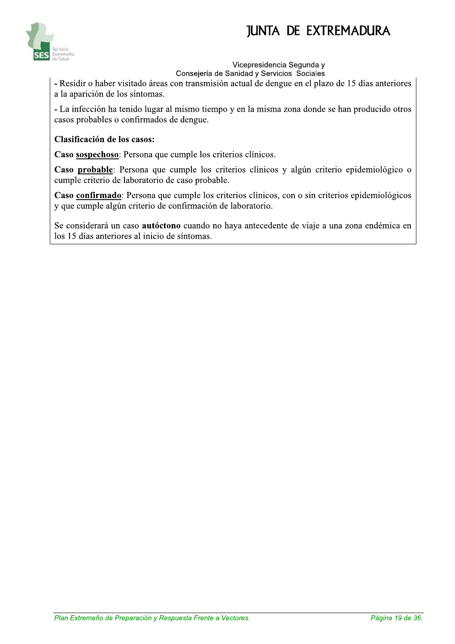

#### Vicepresidencia Segunda v

Consejería de Sanidad y Servicios Sociales

- Residir o haber visitado áreas con transmisión actual de dengue en el plazo de 15 días anteriores a la aparición de los síntomas.

- La infección ha tenido lugar al mismo tiempo y en la misma zona donde se han producido otros casos probables o confirmados de dengue.

#### Clasificación de los casos:

Caso sospechoso: Persona que cumple los criterios clínicos.

Caso probable: Persona que cumple los criterios clínicos y algún criterio epidemiológico o cumple criterio de laboratorio de caso probable.

Caso confirmado: Persona que cumple los criterios clínicos, con o sin criterios epidemiológicos y que cumple algún criterio de confirmación de laboratorio.

Se considerará un caso autóctono cuando no haya antecedente de viaje a una zona endémica en los 15 días anteriores al inicio de síntomas.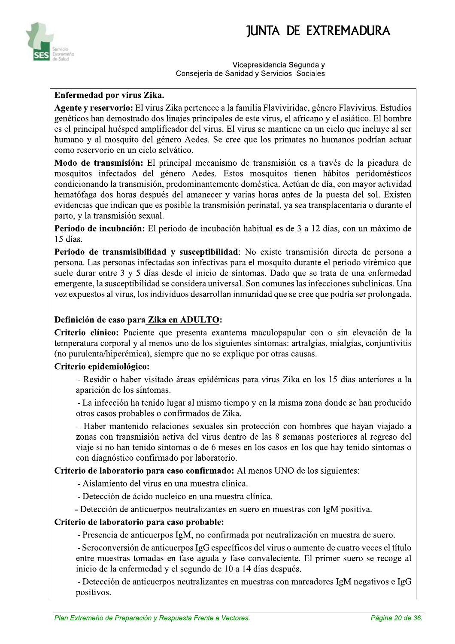

Vicepresidencia Segunda v Consejería de Sanidad y Servicios Sociales

#### Enfermedad por virus Zika.

Agente y reservorio: El virus Zika pertenece a la familia Flaviviridae, género Flavivirus. Estudios genéticos han demostrado dos linajes principales de este virus, el africano y el asiático. El hombre es el principal huésped amplificador del virus. El virus se mantiene en un ciclo que incluye al ser humano y al mosquito del género Aedes. Se cree que los primates no humanos podrían actuar como reservorio en un ciclo selvático.

Modo de transmisión: El principal mecanismo de transmisión es a través de la picadura de mosquitos infectados del género Aedes. Estos mosquitos tienen hábitos peridomésticos condicionando la transmisión, predominantemente doméstica. Actúan de día, con mayor actividad hematófaga dos horas después del amanecer y varias horas antes de la puesta del sol. Existen evidencias que indican que es posible la transmisión perinatal, ya sea transplacentaria o durante el parto, y la transmisión sexual.

Periodo de incubación: El periodo de incubación habitual es de 3 a 12 días, con un máximo de 15 días.

Periodo de transmisibilidad y susceptibilidad: No existe transmisión directa de persona a persona. Las personas infectadas son infectivas para el mosquito durante el periodo virémico que suele durar entre 3 y 5 días desde el inicio de síntomas. Dado que se trata de una enfermedad emergente, la susceptibilidad se considera universal. Son comunes las infecciones subclínicas. Una vez expuestos al virus, los individuos desarrollan inmunidad que se cree que podría ser prolongada.

#### Definición de caso para Zika en ADULTO:

Criterio clínico: Paciente que presenta exantema maculopapular con o sin elevación de la temperatura corporal y al menos uno de los siguientes síntomas: artralgias, mialgias, conjuntivitis (no purulenta/hiperémica), siempre que no se explique por otras causas.

#### Criterio epidemiológico:

- Residir o haber visitado áreas epidémicas para virus Zika en los 15 días anteriores a la aparición de los síntomas.

- La infección ha tenido lugar al mismo tiempo y en la misma zona donde se han producido otros casos probables o confirmados de Zika.

- Haber mantenido relaciones sexuales sin protección con hombres que hayan viajado a zonas con transmisión activa del virus dentro de las 8 semanas posteriores al regreso del viaje si no han tenido síntomas o de 6 meses en los casos en los que hay tenido síntomas o con diagnóstico confirmado por laboratorio.

Criterio de laboratorio para caso confirmado: Al menos UNO de los siguientes:

- Aislamiento del virus en una muestra clínica.

- Detección de ácido nucleico en una muestra clínica.

- Detección de anticuerpos neutralizantes en suero en muestras con IgM positiva.

#### Criterio de laboratorio para caso probable:

- Presencia de anticuerpos IgM, no confirmada por neutralización en muestra de suero.

- Seroconversión de anticuerpos IgG específicos del virus o aumento de cuatro veces el título entre muestras tomadas en fase aguda y fase convaleciente. El primer suero se recoge al inicio de la enfermedad y el segundo de 10 a 14 días después.

- Detección de anticuerpos neutralizantes en muestras con marcadores IgM negativos e IgG positivos.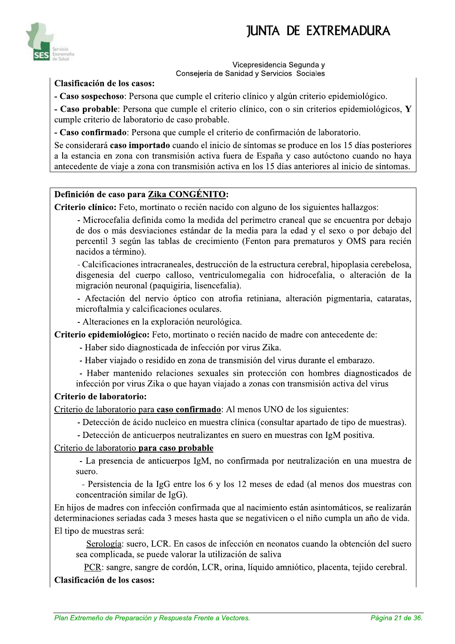

Vicepresidencia Segunda v Consejería de Sanidad y Servicios Sociales

#### Clasificación de los casos:

- Caso sospechoso: Persona que cumple el criterio clínico y algún criterio epidemiológico.

- Caso probable: Persona que cumple el criterio clínico, con o sin criterios epidemiológicos, Y cumple criterio de laboratorio de caso probable.

- Caso confirmado: Persona que cumple el criterio de confirmación de laboratorio.

Se considerará caso importado cuando el inicio de síntomas se produce en los 15 días posteriores a la estancia en zona con transmisión activa fuera de España y caso autóctono cuando no haya antecedente de viaje a zona con transmisión activa en los 15 días anteriores al inicio de síntomas.

#### Definición de caso para Zika CONGÉNITO:

Criterio clínico: Feto, mortinato o recién nacido con alguno de los siguientes hallazgos:

- Microcefalia definida como la medida del perímetro craneal que se encuentra por debajo de dos o más desviaciones estándar de la media para la edad y el sexo o por debajo del percentil 3 según las tablas de crecimiento (Fenton para prematuros y OMS para recién nacidos a término).

- Calcificaciones intracraneales, destrucción de la estructura cerebral, hipoplasia cerebelosa, disgenesia del cuerpo calloso, ventriculomegalia con hidrocefalia, o alteración de la migración neuronal (paquigiria, lisencefalia).

- Afectación del nervio óptico con atrofia retiniana, alteración pigmentaria, cataratas, microftalmia y calcificaciones oculares.

- Alteraciones en la exploración neurológica.

Criterio epidemiológico: Feto, mortinato o recién nacido de madre con antecedente de:

- Haber sido diagnosticada de infección por virus Zika.

- Haber viajado o residido en zona de transmisión del virus durante el embarazo.

- Haber mantenido relaciones sexuales sin protección con hombres diagnosticados de infección por virus Zika o que hayan viajado a zonas con transmisión activa del virus

#### Criterio de laboratorio:

Criterio de laboratorio para caso confirmado: Al menos UNO de los siguientes:

- Detección de ácido nucleico en muestra clínica (consultar apartado de tipo de muestras).

- Detección de anticuerpos neutralizantes en suero en muestras con IgM positiva.

Criterio de laboratorio para caso probable

- La presencia de anticuerpos IgM, no confirmada por neutralización en una muestra de suero.

- Persistencia de la IgG entre los 6 y los 12 meses de edad (al menos dos muestras con concentración similar de IgG).

En hijos de madres con infección confirmada que al nacimiento están asintomáticos, se realizarán determinaciones seriadas cada 3 meses hasta que se negativicen o el niño cumpla un año de vida. El tipo de muestras será:

Serología: suero, LCR. En casos de infección en neonatos cuando la obtención del suero sea complicada, se puede valorar la utilización de saliva

PCR: sangre, sangre de cordón, LCR, orina, líquido amniótico, placenta, tejido cerebral. Clasificación de los casos: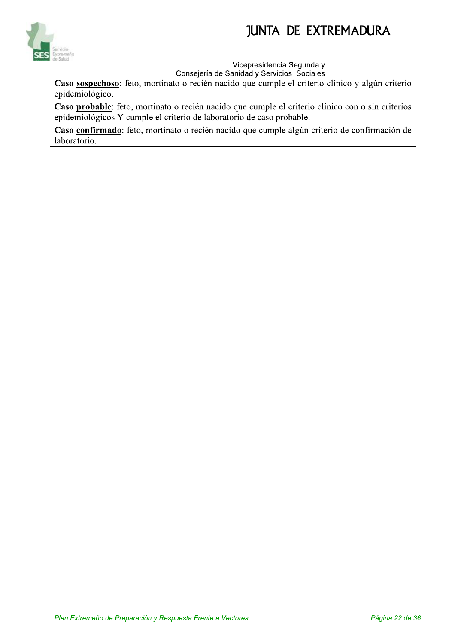

#### Vicepresidencia Segunda y

Consejería de Sanidad y Servicios Sociales

Caso sospechoso: feto, mortinato o recién nacido que cumple el criterio clínico y algún criterio epidemiológico.

Caso probable: feto, mortinato o recién nacido que cumple el criterio clínico con o sin criterios epidemiológicos Y cumple el criterio de laboratorio de caso probable.

Caso confirmado: feto, mortinato o recién nacido que cumple algún criterio de confirmación de laboratorio.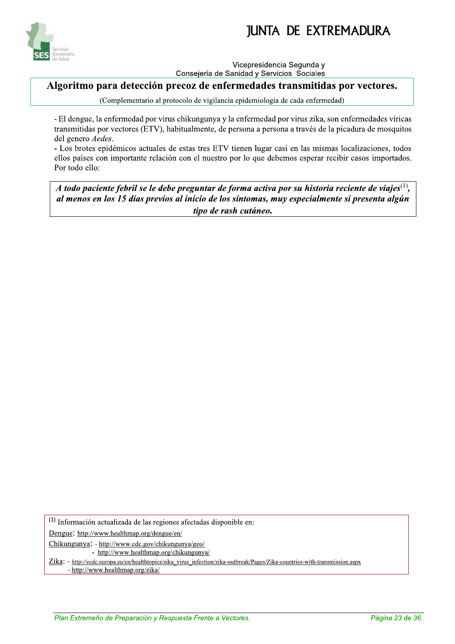

Vicepresidencia Segunda v Consejería de Sanidad y Servicios Sociales

Algoritmo para detección precoz de enfermedades transmitidas por vectores.

(Complementario al protocolo de vigilancia epidemiologia de cada enfermedad)

- El dengue, la enfermedad por virus chikungunya y la enfermedad por virus zika, son enfermedades víricas transmitidas por vectores (ETV), habitualmente, de persona a persona a través de la picadura de mosquitos del genero Aedes.

- Los brotes epidémicos actuales de estas tres ETV tienen lugar casi en las mismas localizaciones, todos ellos países con importante relación con el nuestro por lo que debemos esperar recibir casos importados. Por todo ello:

A todo paciente febril se le debe preguntar de forma activa por su historia reciente de viajes $^{(1)}$ , al menos en los 15 días previos al inicio de los síntomas, muy especialmente si presenta algún tipo de rash cutáneo.

(1) Información actualizada de las regiones afectadas disponible en:

Dengue: http://www.healthmap.org/dengue/en/

Chikungunya: - http://www.cdc.gov/chikungunya/geo/

- http://www.healthmap.org/chikungunya/

Zika: - http://ecdc.europa.eu/en/healthtopics/zika virus infection/zika-outbreak/Pages/Zika-countries-with-transmission.aspx

- http://www.healthmap.org/zika/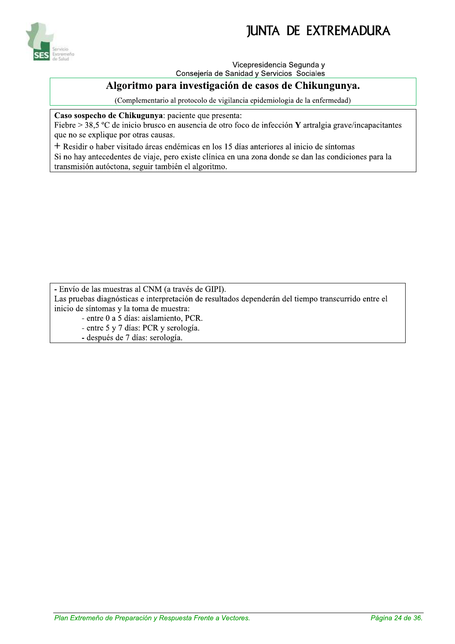

Vicepresidencia Segunda v

Consejería de Sanidad y Servicios Sociales

#### Algoritmo para investigación de casos de Chikungunya.

(Complementario al protocolo de vigilancia epidemiologia de la enfermedad)

Caso sospecho de Chikugunya: paciente que presenta:

Fiebre > 38,5 °C de inicio brusco en ausencia de otro foco de infección Y artralgia grave/incapacitantes que no se explique por otras causas.

+ Residir o haber visitado áreas endémicas en los 15 días anteriores al inicio de síntomas Si no hay antecedentes de viaje, pero existe clínica en una zona donde se dan las condiciones para la transmisión autóctona, seguir también el algoritmo.

- Envío de las muestras al CNM (a través de GIPI).

Las pruebas diagnósticas e interpretación de resultados dependerán del tiempo transcurrido entre el inicio de síntomas y la toma de muestra:

- entre 0 a 5 días: aislamiento, PCR.

- entre 5 y 7 días: PCR y serología.

- después de 7 días: serología.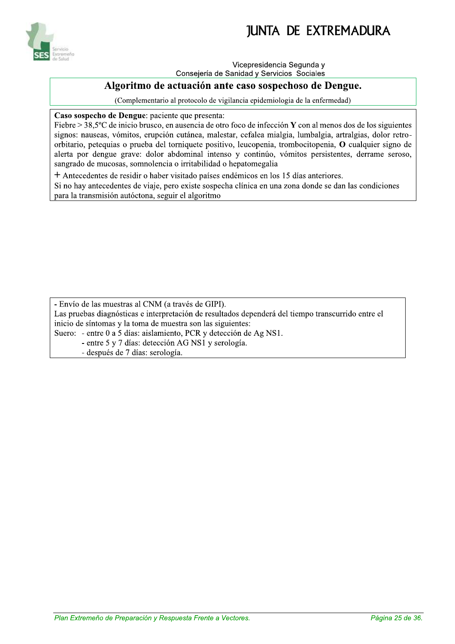

Vicepresidencia Segunda v

Consejería de Sanidad y Servicios Sociales

#### Algoritmo de actuación ante caso sospechoso de Dengue.

(Complementario al protocolo de vigilancia epidemiologia de la enfermedad)

Caso sospecho de Dengue: paciente que presenta:

Fiebre > 38,5 °C de inicio brusco, en ausencia de otro foco de infección Y con al menos dos de los siguientes signos: nauseas, vómitos, erupción cutánea, malestar, cefalea mialgia, lumbalgia, artralgias, dolor retroorbitario, petequias o prueba del torniquete positivo, leucopenia, trombocitopenia, O cualquier signo de alerta por dengue grave: dolor abdominal intenso y continúo, vómitos persistentes, derrame seroso, sangrado de mucosas, somnolencia o irritabilidad o hepatomegalia

+ Antecedentes de residir o haber visitado países endémicos en los 15 días anteriores.

Si no hay antecedentes de viaje, pero existe sospecha clínica en una zona donde se dan las condiciones para la transmisión autóctona, seguir el algoritmo

- Envío de las muestras al CNM (a través de GIPI). Las pruebas diagnósticas e interpretación de resultados dependerá del tiempo transcurrido entre el inicio de síntomas y la toma de muestra son las siguientes: Suero: - entre 0 a 5 días: aislamiento, PCR y detección de Ag NS1. - entre 5 y 7 días: detección AG NS1 y serología.

- después de 7 días: serología.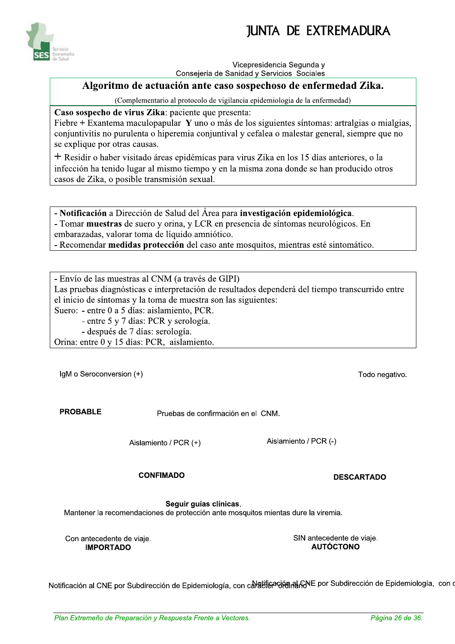

Vicepresidencia Segunda v Consejería de Sanidad y Servicios Sociales

#### Algoritmo de actuación ante caso sospechoso de enfermedad Zika.

(Complementario al protocolo de vigilancia epidemiologia de la enfermedad)

Caso sospecho de virus Zika: paciente que presenta:

Fiebre + Exantema maculopapular Y uno o más de los siguientes síntomas: artralgias o mialgias, conjuntivitis no purulenta o hiperemia conjuntival y cefalea o malestar general, siempre que no se explique por otras causas.

+ Residir o haber visitado áreas epidémicas para virus Zika en los 15 días anteriores, o la infección ha tenido lugar al mismo tiempo y en la misma zona donde se han producido otros casos de Zika, o posible transmisión sexual.

- Notificación a Dirección de Salud del Área para investigación epidemiológica. - Tomar muestras de suero y orina, y LCR en presencia de síntomas neurológicos. En embarazadas, valorar toma de líquido amniótico. - Recomendar medidas protección del caso ante mosquitos, mientras esté sintomático.

- Envío de las muestras al CNM (a través de GIPI) Las pruebas diagnósticas e interpretación de resultados dependerá del tiempo transcurrido entre el inicio de síntomas y la toma de muestra son las siguientes: Suero: - entre 0 a 5 días: aislamiento, PCR. - entre 5 y 7 días: PCR y serología.

- después de 7 días: serología.

Orina: entre 0 y 15 días: PCR, aislamiento.

IgM o Seroconversion (+)

**PROBABLE** 

Pruebas de confirmación en el CNM.

Aislamiento / PCR (+)

Aislamiento / PCR (-)

**CONFIMADO** 

**DESCARTADO** 

Todo negativo.

Seguir guías clínicas.

Mantener la recomendaciones de protección ante mosquitos mientas dure la viremia.

Con antecedente de viaje. **IMPORTADO** 

SIN antecedente de viaje. **AUTÓCTONO** 

Notificación al CNE por Subdirección de Epidemiología, con cal attisación al RNE por Subdirección de Epidemiología, con d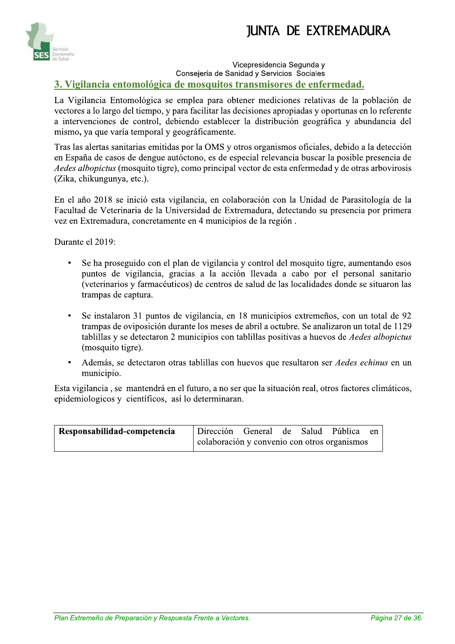

#### Vicepresidencia Segunda v Consejería de Sanidad y Servicios Sociales 3. Vigilancia entomológica de mosquitos transmisores de enfermedad.

La Vigilancia Entomológica se emplea para obtener mediciones relativas de la población de vectores a lo largo del tiempo, y para facilitar las decisiones apropiadas y oportunas en lo referente a intervenciones de control, debiendo establecer la distribución geográfica y abundancia del mismo, ya que varía temporal y geográficamente.

Tras las alertas sanitarias emitidas por la OMS y otros organismos oficiales, debido a la detección en España de casos de dengue autóctono, es de especial relevancia buscar la posible presencia de *Aedes albopictus* (mosquito tigre), como principal vector de esta enfermedad y de otras arbovirosis (Zika, chikungunya, etc.).

En el año 2018 se inició esta vigilancia, en colaboración con la Unidad de Parasitología de la Facultad de Veterinaria de la Universidad de Extremadura, detectando su presencia por primera vez en Extremadura, concretamente en 4 municipios de la región.

Durante el 2019:

- $\bullet$ Se ha proseguido con el plan de vigilancia y control del mosquito tigre, aumentando esos puntos de vigilancia, gracias a la acción llevada a cabo por el personal sanitario (veterinarios y farmacéuticos) de centros de salud de las localidades donde se situaron las trampas de captura.
- Se instalaron 31 puntos de vigilancia, en 18 municipios extremeños, con un total de 92 trampas de oviposición durante los meses de abril a octubre. Se analizaron un total de 1129 tablillas y se detectaron 2 municipios con tablillas positivas a huevos de Aedes albopictus (mosquito tigre).
- Además, se detectaron otras tablillas con huevos que resultaron ser *Aedes echinus* en un municipio.

Esta vigilancia, se mantendrá en el futuro, a no ser que la situación real, otros factores climáticos, epidemiologicos y científicos, así lo determinaran.

| Responsabilidad-competencia | Dirección General de Salud Pública en        |  |  |  |
|-----------------------------|----------------------------------------------|--|--|--|
|                             | colaboración y convenio con otros organismos |  |  |  |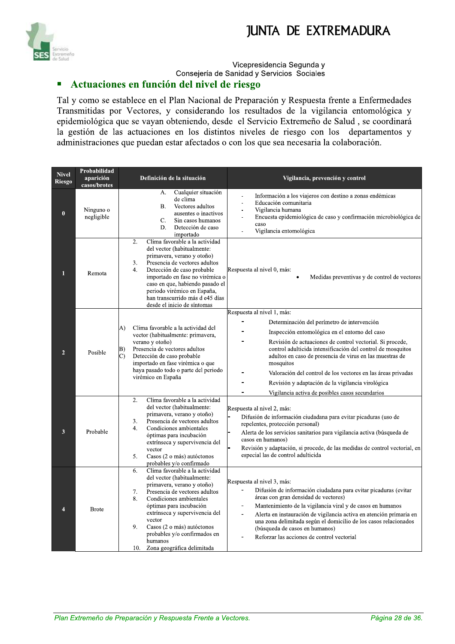

#### Vicepresidencia Segunda y Consejería de Sanidad y Servicios Sociales

#### Actuaciones en función del nivel de riesgo  $\blacksquare$

Tal y como se establece en el Plan Nacional de Preparación y Respuesta frente a Enfermedades Transmitidas por Vectores, y considerando los resultados de la vigilancia entomológica y epidemiológica que se vayan obteniendo, desde el Servicio Extremeño de Salud, se coordinará la gestión de las actuaciones en los distintos niveles de riesgo con los departamentos y administraciones que puedan estar afectados o con los que sea necesaria la colaboración.

| <b>Nivel</b><br><b>Riesgo</b> | Probabilidad<br>aparición<br>casos/brotes | Definición de la situación                                                                                                                                                                                                                                                                                                                                                                              | Vigilancia, prevención y control                                                                                                                                                                                                                                                                                                                                                                                                                                                                         |
|-------------------------------|-------------------------------------------|---------------------------------------------------------------------------------------------------------------------------------------------------------------------------------------------------------------------------------------------------------------------------------------------------------------------------------------------------------------------------------------------------------|----------------------------------------------------------------------------------------------------------------------------------------------------------------------------------------------------------------------------------------------------------------------------------------------------------------------------------------------------------------------------------------------------------------------------------------------------------------------------------------------------------|
| $\bf{0}$                      | Ninguno o<br>negligible                   | Cualquier situación<br>А.<br>$\overline{a}$<br>de clima<br>$\overline{\phantom{a}}$<br><b>B.</b><br>Vectores adultos<br>÷,<br>ausentes o inactivos<br>L,<br>C.<br>Sin casos humanos<br>D.<br>Detección de caso<br>L,<br>importado                                                                                                                                                                       | Información a los viajeros con destino a zonas endémicas<br>Educación comunitaria<br>Vigilancia humana<br>Encuesta epidemiológica de caso y confirmación microbiológica de<br>caso<br>Vigilancia entomológica                                                                                                                                                                                                                                                                                            |
| 1                             | Remota                                    | Clima favorable a la actividad<br>$\overline{2}$ .<br>del vector (habitualmente:<br>primavera, verano y otoño)<br>Presencia de vectores adultos<br>3.<br>4.<br>Detección de caso probable<br>importado en fase no virémica o<br>caso en que, habiendo pasado el<br>periodo virémico en España,<br>han transcurrido más d e45 días<br>desde el inicio de síntomas                                        | Respuesta al nivel 0, más:<br>Medidas preventivas y de control de vectores                                                                                                                                                                                                                                                                                                                                                                                                                               |
| $\overline{2}$                | Posible                                   | A)<br>Clima favorable a la actividad del<br>vector (habitualmente: primavera,<br>verano y otoño)<br>Presencia de vectores adultos<br>B)<br>Detección de caso probable<br>C)<br>importado en fase virémica o que<br>haya pasado todo o parte del periodo<br>virémico en España                                                                                                                           | Respuesta al nivel 1, más:<br>Determinación del perímetro de intervención<br>Inspección entomológica en el entorno del caso<br>Revisión de actuaciones de control vectorial. Si procede,<br>control adulticida intensificación del control de mosquitos<br>adultos en caso de presencia de virus en las muestras de<br>mosquitos<br>Valoración del control de los vectores en las áreas privadas<br>Revisión y adaptación de la vigilancia virológica<br>Vigilancia activa de posibles casos secundarios |
| 3                             | Probable                                  | Clima favorable a la actividad<br>$\overline{2}$ .<br>del vector (habitualmente:<br>primavera, verano y otoño)<br>Presencia de vectores adultos<br>3.<br>Condiciones ambientales<br>4.<br>óptimas para incubación<br>extrínseca y supervivencia del<br>vector<br>5.<br>Casos (2 o más) autóctonos<br>probables y/o confirmado                                                                           | Respuesta al nivel 2, más:<br>Difusión de información ciudadana para evitar picaduras (uso de<br>repelentes, protección personal)<br>Alerta de los servicios sanitarios para vigilancia activa (búsqueda de<br>casos en humanos)<br>Revisión y adaptación, si procede, de las medidas de control vectorial, en<br>especial las de control adulticida                                                                                                                                                     |
| 4                             | <b>Brote</b>                              | Clima favorable a la actividad<br>6.<br>del vector (habitualmente:<br>primavera, verano y otoño)<br>$\blacksquare$<br>7.<br>Presencia de vectores adultos<br>Condiciones ambientales<br>8.<br>óptimas para incubación<br>extrínseca y supervivencia del<br>$\blacksquare$<br>vector<br>9.<br>Casos (2 o más) autóctonos<br>probables y/o confirmados en<br>humanos<br>Zona geográfica delimitada<br>10. | Respuesta al nivel 3, más:<br>Difusión de información ciudadana para evitar picaduras (evitar<br>áreas con gran densidad de vectores)<br>Mantenimiento de la vigilancia viral y de casos en humanos<br>Alerta en instauración de vigilancia activa en atención primaria en<br>una zona delimitada según el domicilio de los casos relacionados<br>(búsqueda de casos en humanos)<br>Reforzar las acciones de control vectorial                                                                           |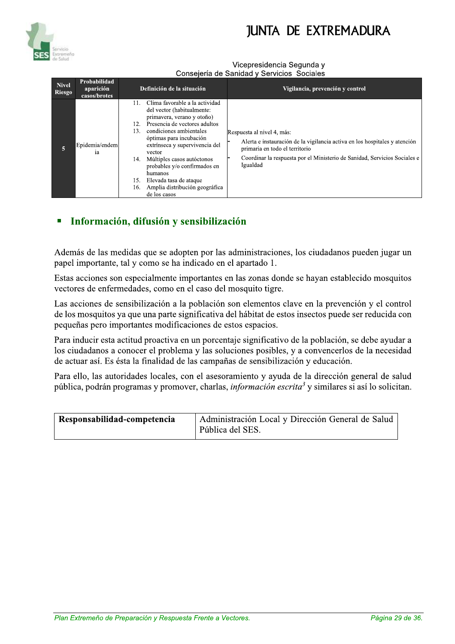#### Vicepresidencia Segunda v Consejería de Sanidad y Servicios Sociales

| <b>Nivel</b><br><b>Riesgo</b> | Probabilidad<br>aparición<br>casos/brotes | Definición de la situación                                                                                                                                                                                                                                                                                                                                                                                                   | Vigilancia, prevención y control                                                                                                                                                                                                    |
|-------------------------------|-------------------------------------------|------------------------------------------------------------------------------------------------------------------------------------------------------------------------------------------------------------------------------------------------------------------------------------------------------------------------------------------------------------------------------------------------------------------------------|-------------------------------------------------------------------------------------------------------------------------------------------------------------------------------------------------------------------------------------|
| 5                             | Epidemia/endem<br>ia                      | Clima favorable a la actividad<br>11.<br>del vector (habitualmente:<br>primavera, verano y otoño)<br>Presencia de vectores adultos<br>12.<br>condiciones ambientales<br>13.<br>óptimas para incubación<br>extrínseca y supervivencia del<br>vector<br>Múltiples casos autóctonos<br>14.<br>probables y/o confirmados en<br>humanos<br>Elevada tasa de ataque<br>15.<br>Amplia distribución geográfica<br>16.<br>de los casos | Respuesta al nivel 4, más:<br>Alerta e instauración de la vigilancia activa en los hospitales y atención<br>primaria en todo el territorio<br>Coordinar la respuesta por el Ministerio de Sanidad, Servicios Sociales e<br>Igualdad |

### Información, difusión y sensibilización

Además de las medidas que se adopten por las administraciones, los ciudadanos pueden jugar un papel importante, tal y como se ha indicado en el apartado 1.

Estas acciones son especialmente importantes en las zonas donde se hayan establecido mosquitos vectores de enfermedades, como en el caso del mosquito tigre.

Las acciones de sensibilización a la población son elementos clave en la prevención y el control de los mosquitos ya que una parte significativa del hábitat de estos insectos puede ser reducida con pequeñas pero importantes modificaciones de estos espacios.

Para inducir esta actitud proactiva en un porcentaje significativo de la población, se debe ayudar a los ciudadanos a conocer el problema y las soluciones posibles, y a convencerlos de la necesidad de actuar así. Es ésta la finalidad de las campañas de sensibilización y educación.

Para ello, las autoridades locales, con el asesoramiento y ayuda de la dirección general de salud pública, podrán programas y promover, charlas, *información escrita*<sup>3</sup> y similares si así lo solicitan.

| Responsabilidad-competencia | Administración Local y Dirección General de Salud |
|-----------------------------|---------------------------------------------------|
|                             | Pública del SES.                                  |

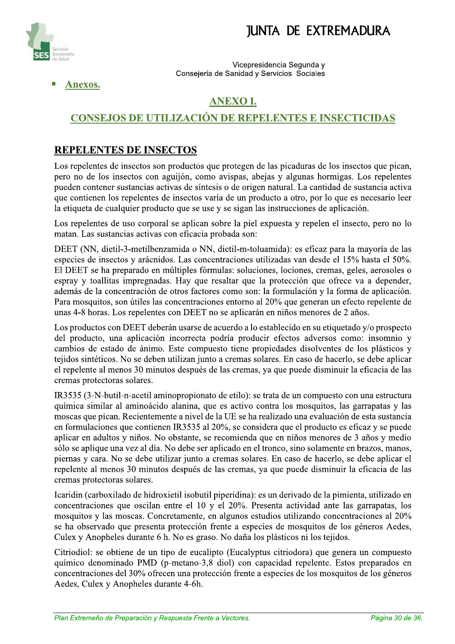

vice cepresidencia Segunda y Consejeria de Sanidad y Servicios Sociales

Anexos.

### ANEXO I.

### CONSEJOS DE UTILIZACIÓN DE REPELENTES E INSECTICIDAS

### REPELENTES DE INSECTOS

Los repelentes de insectos son productos que protegen de las picaduras de los insectos que pican, pero no de los insectos con aguijón, como avispas, abejas y algunas hormigas. Los repelentes pueden contener sustancias activas de síntesis o de origen natural. La cantidad de sustancia activa que contienen los repelentes de insectos varía de un producto a otro, por lo que es necesario leer la etiqueta de cualquier producto que se use y se sigan las instrucciones de aplicación.

Los repelentes de uso corporal se aplican sobre la piel expuesta y repelen el insecto, pero no lo matan. Las sustancias activas con eficacia probada son:

DEET (NN, dietil-3-metilbenzamida o NN, dietil-m-toluamida): es eficaz para la mayoría de las especies de insectos y arácnidos. Las concentraciones utilizadas van desde el 15% hasta el 50%. El DEET se ha preparado en múltiples fórmulas: soluciones, lociones, cremas, geles, aerosoles o  $\gamma$  espray y toallitas impregnadas. Hay que resaltar que la protección que ofrece va a depender, además de la concentración de otros factores como son: la formulación y la forma de aplicación. Para mosquitos, son útiles las concentraciones entorno al 20% que generan un efecto repelente de unas 4-8 horas. Los repelentes con DEET no se aplicarán en niños menores de 2 años.

Los productos con DEET deberán usarse de acuerdo a lo establecido en su etiquetado y/o prospecto del producto, una aplicación incorrecta podría producir efectos adversos como: insomnio y cambios de estado de ánimo. Este compuesto tiene propiedades disolventes de los plásticos y tejidos sintéticos. No se deben utilizan junto a cremas solares. En caso de hacerlo, se debe aplicar el repelente al menos 30 minutos después de las cremas, ya que puede disminuir la eficacia de las cremas protectoras solares.

IR3535 (3-N-butil-n-acetil aminopropionato de etilo): se trata de un compuesto con una estructura química similar al aminoácido alanina, que es activo contra los mosquitos, las garrapatas y las moscas que pican. Recientemente a nivel de la UE se ha realizado una evaluación de esta sustancia en formulaciones que contienen IR3535 al 20%, se considera que el producto es eficaz y se puede aplicar en adultos y niños. No obstante, se recomienda que en niños menores de 3 años y medio sólo se aplique una vez al día. No debe ser aplicado en el tronco, sino solamente en brazos, manos, piernas y cara. No se debe utilizar junto a cremas solares. En caso de hacerlo, se debe aplicar el repelente al menos 30 minutos después de las cremas, ya que puede disminuir la eficacia de las cremas protectoras solares.

Icaridin (carboxilado de hidroxietil isobutil piperidina): es un derivado de la pimienta, utilizado en concentraciones que oscilan entre el 10 y el 20%. Presenta actividad ante las garrapatas, los  $M$ mosquitos y las moscas. Concretamente, en algunos estudios utilizando concentraciones al 20% se ha observado que presenta protección frente a especies de mosquitos de los géneros Aedes, Culex y Anopheles durante 6 h. No es graso. No daña los plásticos ni los tejidos.

Citriodioi: se obtene de un tipo de eucalipio (Eucalypius citriodora) que genera un compuesto<br>químico denominado PMD (p-metano-3,8 diol) con capacidad repelente. Estos preparados en<br>concentraciones del 30% ofrecen una prot Citriodiol: se obtiene de un tipo de eucalipto (Eucalyptus citriodora) que genera un compuesto químico denominado PMD (p-metano-3,8 diol) con capacidad repelente. Estos preparados en concentraciones del 30% ofrecen una protección frente a especies de los mosquitos de los géneros Aedes, Culex y Anopheles durante 4-6h.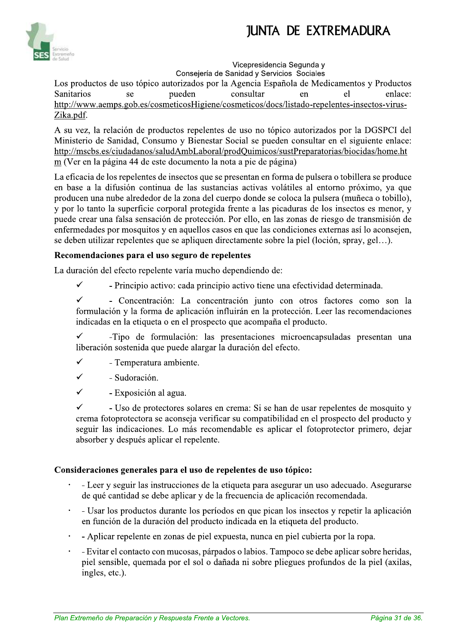

#### Vicepresidencia Segunda v

Consejería de Sanidad y Servicios Sociales Los productos de uso tópico autorizados por la Agencia Española de Medicamentos y Productos pueden consultar **Sanitarios** enlace: se en el http://www.aemps.gob.es/cosmeticosHigiene/cosmeticos/docs/listado-repelentes-insectos-virus-Zika.pdf.

A su vez, la relación de productos repelentes de uso no tópico autorizados por la DGSPCI del Ministerio de Sanidad, Consumo y Bienestar Social se pueden consultar en el siguiente enlace: http://mscbs.es/ciudadanos/saludAmbLaboral/prodQuimicos/sustPreparatorias/biocidas/home.ht m (Ver en la página 44 de este documento la nota a pie de página)

La eficacia de los repelentes de insectos que se presentan en forma de pulsera o tobillera se produce en base a la difusión continua de las sustancias activas volátiles al entorno próximo, ya que producen una nube alrededor de la zona del cuerpo donde se coloca la pulsera (muñeca o tobillo). y por lo tanto la superficie corporal protegida frente a las picaduras de los insectos es menor, y puede crear una falsa sensación de protección. Por ello, en las zonas de riesgo de transmisión de enfermedades por mosquitos y en aquellos casos en que las condiciones externas así lo aconsejen, se deben utilizar repelentes que se apliquen directamente sobre la piel (loción, spray, gel...).

#### Recomendaciones para el uso seguro de repelentes

La duración del efecto repelente varía mucho dependiendo de:

 $\checkmark$ - Principio activo: cada principio activo tiene una efectividad determinada.

 $\checkmark$ - Concentración: La concentración junto con otros factores como son la formulación y la forma de aplicación influirán en la protección. Leer las recomendaciones indicadas en la etiqueta o en el prospecto que acompaña el producto.

 $\checkmark$ -Tipo de formulación: las presentaciones microencapsuladas presentan una liberación sostenida que puede alargar la duración del efecto.

- $\checkmark$ - Temperatura ambiente.
- $\checkmark$ - Sudoración.

 $\ddot{\phantom{0}}$ 

 $\checkmark$ - Exposición al agua.

 $\checkmark$ - Uso de protectores solares en crema: Si se han de usar repelentes de mosquito y crema fotoprotectora se aconseja verificar su compatibilidad en el prospecto del producto y seguir las indicaciones. Lo más recomendable es aplicar el fotoprotector primero, dejar absorber y después aplicar el repelente.

#### Consideraciones generales para el uso de repelentes de uso tópico:

- Leer y seguir las instrucciones de la etiqueta para asegurar un uso adecuado. Asegurarse de qué cantidad se debe aplicar y de la frecuencia de aplicación recomendada.
- Usar los productos durante los períodos en que pican los insectos y repetir la aplicación en función de la duración del producto indicada en la etiqueta del producto.
- Aplicar repelente en zonas de piel expuesta, nunca en piel cubierta por la ropa.
- Evitar el contacto con mucosas, párpados o labios. Tampoco se debe aplicar sobre heridas, piel sensible, quemada por el sol o dañada ni sobre pliegues profundos de la piel (axilas, ingles, etc.).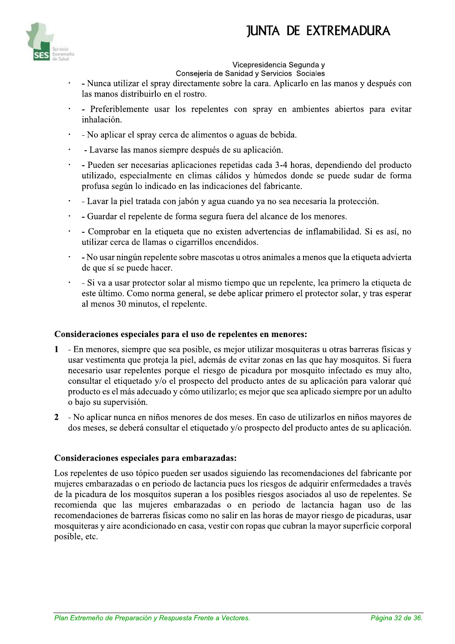

#### Vicepresidencia Segunda v

Consejería de Sanidad y Servicios Sociales

- Nunca utilizar el spray directamente sobre la cara. Aplicarlo en las manos y después con las manos distribuirlo en el rostro.
- Preferiblemente usar los repelentes con spray en ambientes abiertos para evitar  $\bullet$ inhalación.
- No aplicar el spray cerca de alimentos o aguas de bebida.  $\ddot{\phantom{0}}$
- Lavarse las manos siempre después de su aplicación.  $\ddot{\phantom{0}}$
- Pueden ser necesarias aplicaciones repetidas cada 3-4 horas, dependiendo del producto  $\ddot{\phantom{0}}$ utilizado, especialmente en climas cálidos y húmedos donde se puede sudar de forma profusa según lo indicado en las indicaciones del fabricante.
- Lavar la piel tratada con jabón y agua cuando ya no sea necesaria la protección.
- Guardar el repelente de forma segura fuera del alcance de los menores.  $\ddot{\phantom{0}}$
- Comprobar en la etiqueta que no existen advertencias de inflamabilidad. Si es así, no  $\ddot{\phantom{0}}$ utilizar cerca de llamas o cigarrillos encendidos.
- No usar ningún repelente sobre mascotas u otros animales a menos que la etiqueta advierta de que sí se puede hacer.
- Si va a usar protector solar al mismo tiempo que un repelente, lea primero la etiqueta de este último. Como norma general, se debe aplicar primero el protector solar, y tras esperar al menos 30 minutos, el repelente.

#### Consideraciones especiales para el uso de repelentes en menores:

- En menores, siempre que sea posible, es mejor utilizar mosquiteras y otras barreras físicas y  $\mathbf{1}$ usar vestimenta que proteja la piel, además de evitar zonas en las que hay mosquitos. Si fuera necesario usar repelentes porque el riesgo de picadura por mosquito infectado es muy alto, consultar el etiquetado y/o el prospecto del producto antes de su aplicación para valorar qué producto es el más adecuado y cómo utilizarlo; es mejor que sea aplicado siempre por un adulto o bajo su supervisión.
- 2 No aplicar nunca en niños menores de dos meses. En caso de utilizarlos en niños mayores de dos meses, se deberá consultar el etiquetado y/o prospecto del producto antes de su aplicación.

#### Consideraciones especiales para embarazadas:

Los repelentes de uso tópico pueden ser usados siguiendo las recomendaciones del fabricante por mujeres embarazadas o en periodo de lactancia pues los riesgos de adquirir enfermedades a través de la picadura de los mosquitos superan a los posibles riesgos asociados al uso de repelentes. Se recomienda que las mujeres embarazadas o en periodo de lactancia hagan uso de las recomendaciones de barreras físicas como no salir en las horas de mayor riesgo de picaduras, usar mosquiteras y aire acondicionado en casa, vestir con ropas que cubran la mayor superficie corporal posible, etc.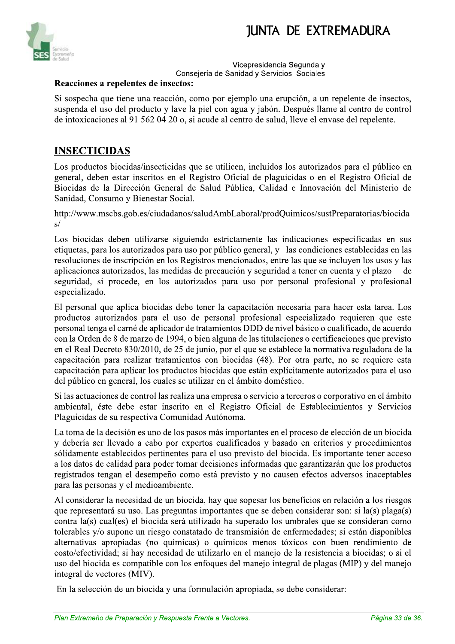

#### Vicepresidencia Segunda v Consejería de Sanidad y Servicios Sociales

#### Reacciones a repelentes de insectos:

Si sospecha que tiene una reacción, como por ejemplo una erupción, a un repelente de insectos, suspenda el uso del producto y lave la piel con agua y jabón. Después llame al centro de control de intoxicaciones al 91 562 04 20 o, si acude al centro de salud, lleve el envase del repelente.

#### **INSECTICIDAS**

Los productos biocidas/insecticidas que se utilicen, incluidos los autorizados para el público en general, deben estar inscritos en el Registro Oficial de plaguicidas o en el Registro Oficial de Biocidas de la Dirección General de Salud Pública, Calidad e Innovación del Ministerio de Sanidad, Consumo y Bienestar Social.

http://www.mscbs.gob.es/ciudadanos/saludAmbLaboral/prodQuimicos/sustPreparatorias/biocida  $s/$ 

Los biocidas deben utilizarse siguiendo estrictamente las indicaciones especificadas en sus etiquetas, para los autorizados para uso por público general, y las condiciones establecidas en las resoluciones de inscripción en los Registros mencionados, entre las que se incluyen los usos y las aplicaciones autorizados, las medidas de precaución y seguridad a tener en cuenta y el plazo de seguridad, si procede, en los autorizados para uso por personal profesional y profesional especializado.

El personal que aplica biocidas debe tener la capacitación necesaria para hacer esta tarea. Los productos autorizados para el uso de personal profesional especializado requieren que este personal tenga el carné de aplicador de tratamientos DDD de nivel básico o cualificado, de acuerdo con la Orden de 8 de marzo de 1994, o bien alguna de las titulaciones o certificaciones que previsto en el Real Decreto 830/2010, de 25 de junio, por el que se establece la normativa reguladora de la capacitación para realizar tratamientos con biocidas (48). Por otra parte, no se requiere esta capacitación para aplicar los productos biocidas que están explícitamente autorizados para el uso del público en general, los cuales se utilizar en el ámbito doméstico.

Si las actuaciones de control las realiza una empresa o servicio a terceros o corporativo en el ámbito ambiental, éste debe estar inscrito en el Registro Oficial de Establecimientos y Servicios Plaguicidas de su respectiva Comunidad Autónoma.

La toma de la decisión es uno de los pasos más importantes en el proceso de elección de un biocida y debería ser llevado a cabo por expertos cualificados y basado en criterios y procedimientos sólidamente establecidos pertinentes para el uso previsto del biocida. Es importante tener acceso a los datos de calidad para poder tomar decisiones informadas que garantizarán que los productos registrados tengan el desempeño como está previsto y no causen efectos adversos inaceptables para las personas y el medioambiente.

Al considerar la necesidad de un biocida, hay que sopesar los beneficios en relación a los riesgos que representará su uso. Las preguntas importantes que se deben considerar son: si la(s) plaga(s) contra la(s) cual(es) el biocida será utilizado ha superado los umbrales que se consideran como tolerables y/o supone un riesgo constatado de transmisión de enfermedades; si están disponibles alternativas apropiadas (no químicas) o químicos menos tóxicos con buen rendimiento de costo/efectividad; si hay necesidad de utilizarlo en el manejo de la resistencia a biocidas; o si el uso del biocida es compatible con los enfoques del manejo integral de plagas (MIP) y del manejo integral de vectores (MIV).

En la selección de un biocida y una formulación apropiada, se debe considerar: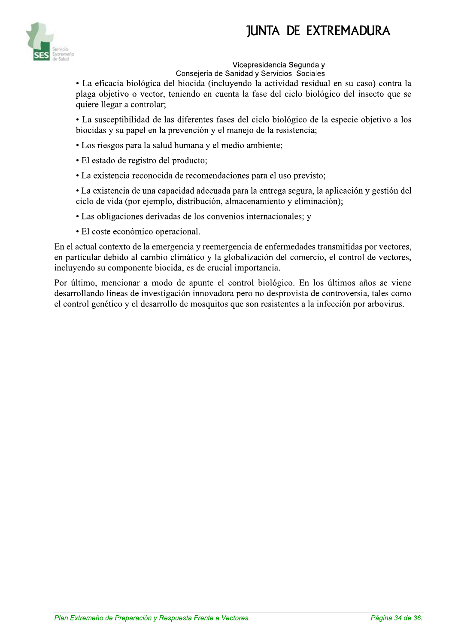

#### Vicepresidencia Segunda v

Consejería de Sanidad y Servicios Sociales

• La eficacia biológica del biocida (incluvendo la actividad residual en su caso) contra la plaga objetivo o vector, teniendo en cuenta la fase del ciclo biológico del insecto que se quiere llegar a controlar;

• La susceptibilidad de las diferentes fases del ciclo biológico de la especie objetivo a los biocidas y su papel en la prevención y el manejo de la resistencia;

- · Los riesgos para la salud humana y el medio ambiente;
- · El estado de registro del producto;
- La existencia reconocida de recomendaciones para el uso previsto;

• La existencia de una capacidad adecuada para la entrega segura, la aplicación y gestión del ciclo de vida (por ejemplo, distribución, almacenamiento y eliminación);

- Las obligaciones derivadas de los convenios internacionales; y
- · El coste económico operacional.

En el actual contexto de la emergencia y reemergencia de enfermedades transmitidas por vectores, en particular debido al cambio climático y la globalización del comercio, el control de vectores, incluyendo su componente biocida, es de crucial importancia.

Por último, mencionar a modo de apunte el control biológico. En los últimos años se viene desarrollando líneas de investigación innovadora pero no desprovista de controversia, tales como el control genético y el desarrollo de mosquitos que son resistentes a la infección por arbovirus.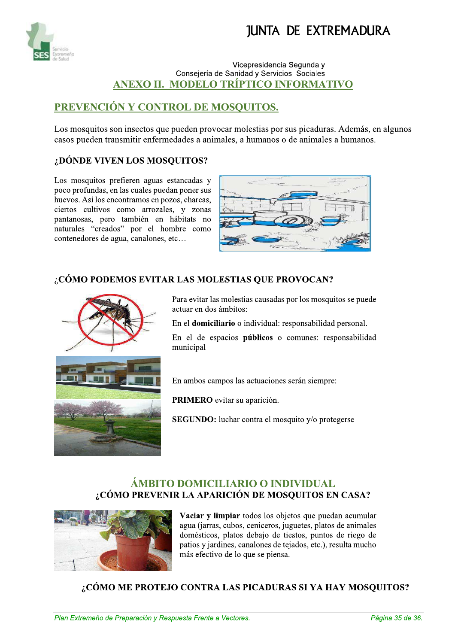

#### Vicepresidencia Segunda v Consejería de Sanidad y Servicios Sociales ANEXO II. MODELO TRÍPTICO INFORMATIVO

### PREVENCIÓN Y CONTROL DE MOSQUITOS.

Los mosquitos son insectos que pueden provocar molestias por sus picaduras. Además, en algunos casos pueden transmitir enfermedades a animales, a humanos o de animales a humanos.

#### ¿DÓNDE VIVEN LOS MOSQUITOS?

Los mosquitos prefieren aguas estancadas y poco profundas, en las cuales puedan poner sus huevos. Así los encontramos en pozos, charcas, ciertos cultivos como arrozales, y zonas pantanosas, pero también en hábitats no naturales "creados" por el hombre como contenedores de agua, canalones, etc...



#### ¿CÓMO PODEMOS EVITAR LAS MOLESTIAS QUE PROVOCAN?



Para evitar las molestias causadas por los mosquitos se puede actuar en dos ámbitos:

En el domiciliario o individual: responsabilidad personal.

En el de espacios públicos o comunes: responsabilidad municipal

En ambos campos las actuaciones serán siempre:

PRIMERO evitar su aparición.

**SEGUNDO:** luchar contra el mosquito y/o protegerse

#### ÁMBITO DOMICILIARIO O INDIVIDUAL ¿CÓMO PREVENIR LA APARICIÓN DE MOSQUITOS EN CASA?



Vaciar y limpiar todos los objetos que puedan acumular agua (jarras, cubos, ceniceros, juguetes, platos de animales domésticos, platos debajo de tiestos, puntos de riego de patios y jardines, canalones de tejados, etc.), resulta mucho más efectivo de lo que se piensa.

¿CÓMO ME PROTEJO CONTRA LAS PICADURAS SI YA HAY MOSQUITOS?